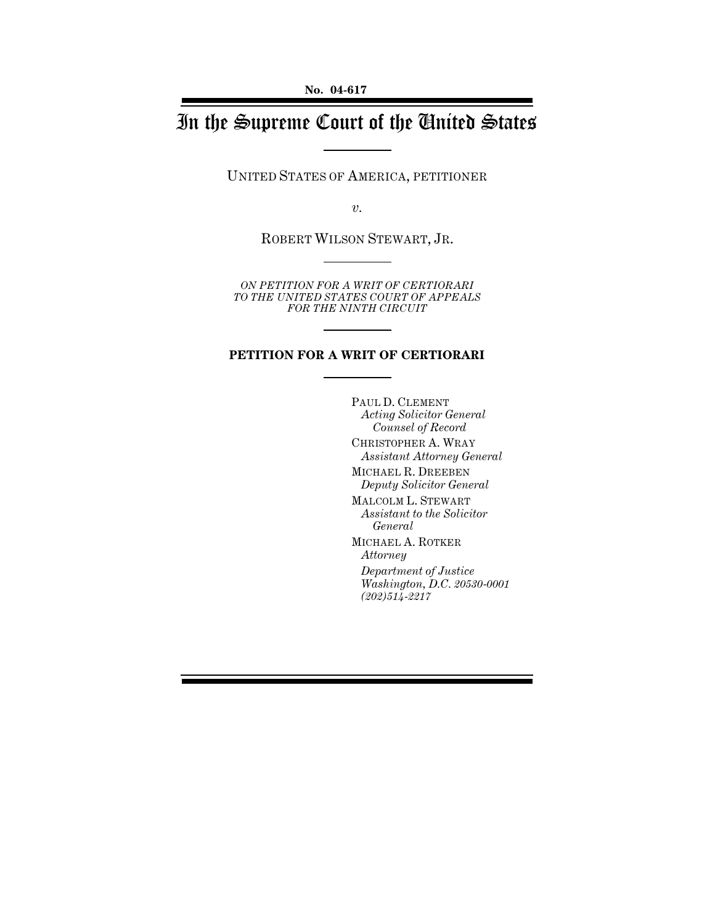# In the Supreme Court of the United States

UNITED STATES OF AMERICA, PETITIONER

*v.*

ROBERT WILSON STEWART, JR.

*ON PETITION FOR A WRIT OF CERTIORARI TO THE UNITED STATES COURT OF APPEALS FOR THE NINTH CIRCUIT*

#### **PETITION FOR A WRIT OF CERTIORARI**

PAUL D. CLEMENT *Acting Solicitor General Counsel of Record* CHRISTOPHER A. WRAY *Assistant Attorney General* MICHAEL R. DREEBEN *Deputy Solicitor General* MALCOLM L. STEWART *Assistant to the Solicitor General* MICHAEL A. ROTKER *Attorney Department of Justice Washington, D.C. 20530-0001 (202)514-2217*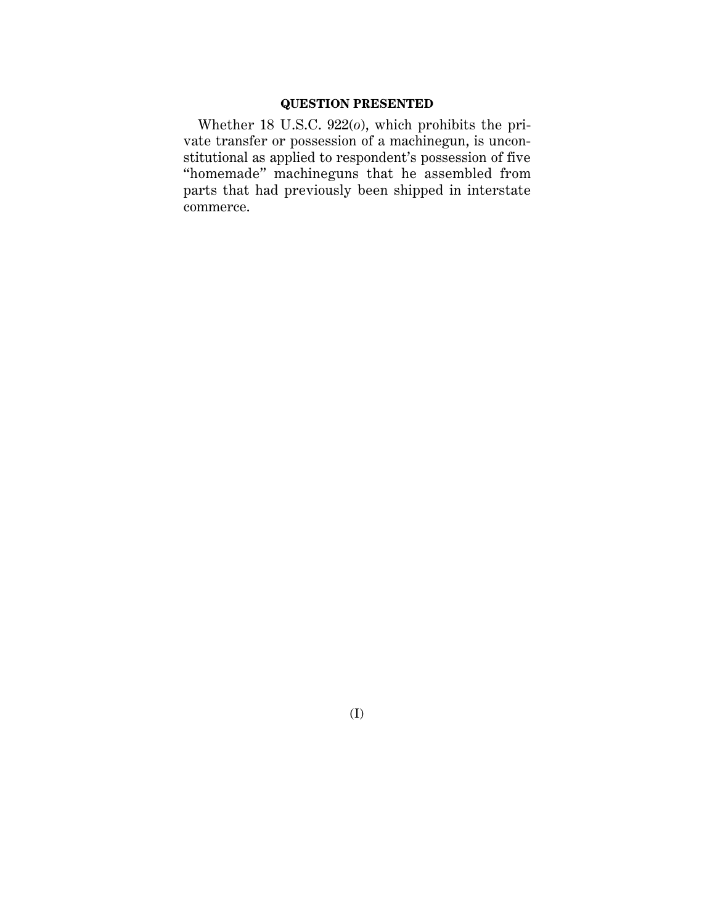## **QUESTION PRESENTED**

Whether 18 U.S.C. 922(*o*), which prohibits the private transfer or possession of a machinegun, is unconstitutional as applied to respondent's possession of five "homemade" machineguns that he assembled from parts that had previously been shipped in interstate commerce.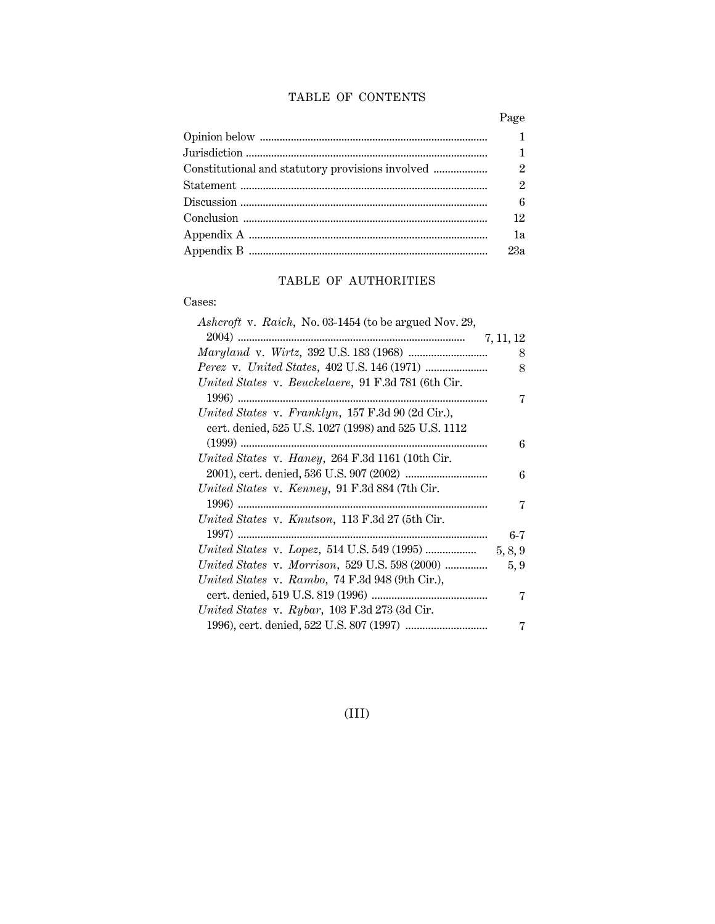## TABLE OF CONTENTS

| $\mathbf{1}$  |
|---------------|
| $\mathbf{1}$  |
| $\mathcal{P}$ |
| $\mathcal{P}$ |
| 6             |
| 12            |
| 1a            |
| 23a           |

## TABLE OF AUTHORITIES

Cases:

| Ashcroft v. Raich, No. 03-1454 (to be argued Nov. 29, |           |
|-------------------------------------------------------|-----------|
|                                                       | 7, 11, 12 |
|                                                       | 8         |
|                                                       | 8         |
| United States v. Beuckelaere, 91 F.3d 781 (6th Cir.   |           |
|                                                       | 7         |
| United States v. Franklyn, 157 F.3d 90 (2d Cir.),     |           |
| cert. denied, 525 U.S. 1027 (1998) and 525 U.S. 1112  |           |
|                                                       | 6         |
| United States v. Haney, 264 F.3d 1161 (10th Cir.      |           |
|                                                       | 6         |
| United States v. Kenney, 91 F.3d 884 (7th Cir.        |           |
|                                                       | 7         |
| United States v. Knutson, 113 F.3d 27 (5th Cir.       |           |
|                                                       | $6 - 7$   |
|                                                       | 5, 8, 9   |
| United States v. Morrison, 529 U.S. 598 (2000)        | 5, 9      |
| United States v. Rambo, $74$ F.3d 948 (9th Cir.),     |           |
|                                                       | 7         |
| United States v. Rybar, 103 F.3d 273 (3d Cir.         |           |
|                                                       | 7         |

(III)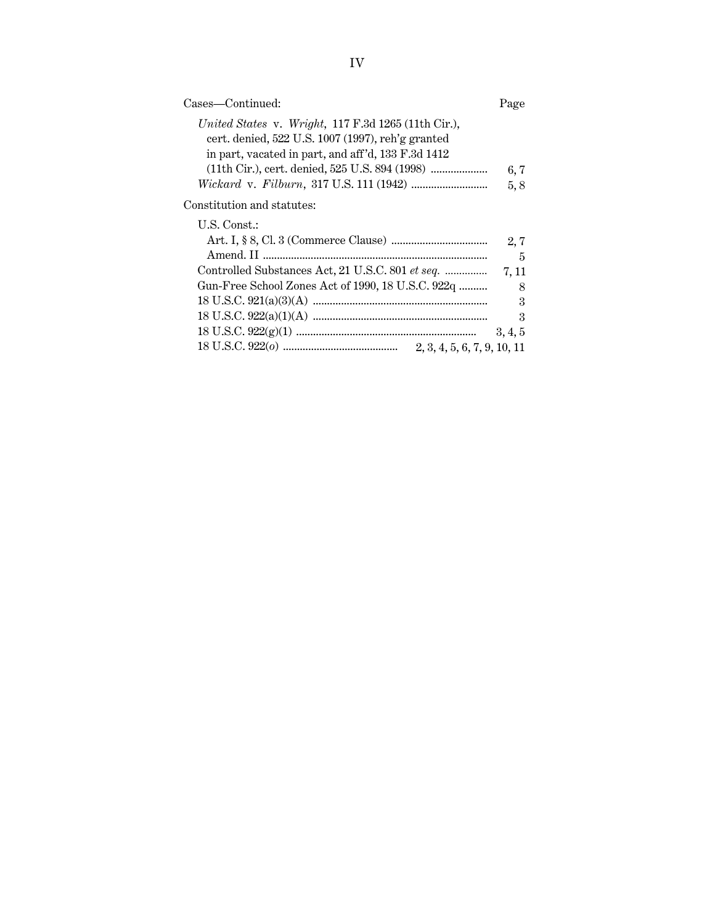Constitution and statutes:

| U.S. Const.:                                          |                           |
|-------------------------------------------------------|---------------------------|
|                                                       | 2,7                       |
|                                                       | - 5                       |
|                                                       |                           |
| Gun-Free School Zones Act of 1990, 18 U.S.C. 922q     | - 8                       |
|                                                       | $\overline{\phantom{a}3}$ |
|                                                       | - 3                       |
|                                                       | 3, 4, 5                   |
| 18 U.S.C. 922(0) $\ldots$ 2, 3, 4, 5, 6, 7, 9, 10, 11 |                           |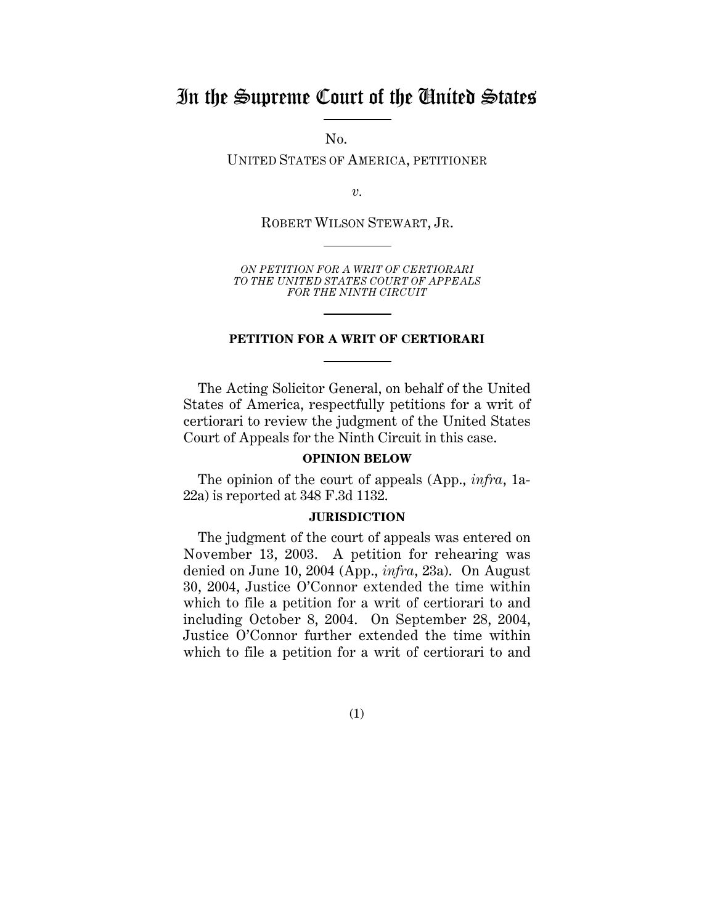## In the Supreme Court of the United States

 $No.$ 

UNITED STATES OF AMERICA, PETITIONER

*v.*

ROBERT WILSON STEWART, JR.

*ON PETITION FOR A WRIT OF CERTIORARI TO THE UNITED STATES COURT OF APPEALS FOR THE NINTH CIRCUIT*

#### **PETITION FOR A WRIT OF CERTIORARI**

The Acting Solicitor General, on behalf of the United States of America, respectfully petitions for a writ of certiorari to review the judgment of the United States Court of Appeals for the Ninth Circuit in this case.

#### **OPINION BELOW**

The opinion of the court of appeals (App., *infra*, 1a-22a) is reported at 348 F.3d 1132.

#### **JURISDICTION**

The judgment of the court of appeals was entered on November 13, 2003. A petition for rehearing was denied on June 10, 2004 (App., *infra*, 23a). On August 30, 2004, Justice O'Connor extended the time within which to file a petition for a writ of certiorari to and including October 8, 2004. On September 28, 2004, Justice O'Connor further extended the time within which to file a petition for a writ of certiorari to and

(1)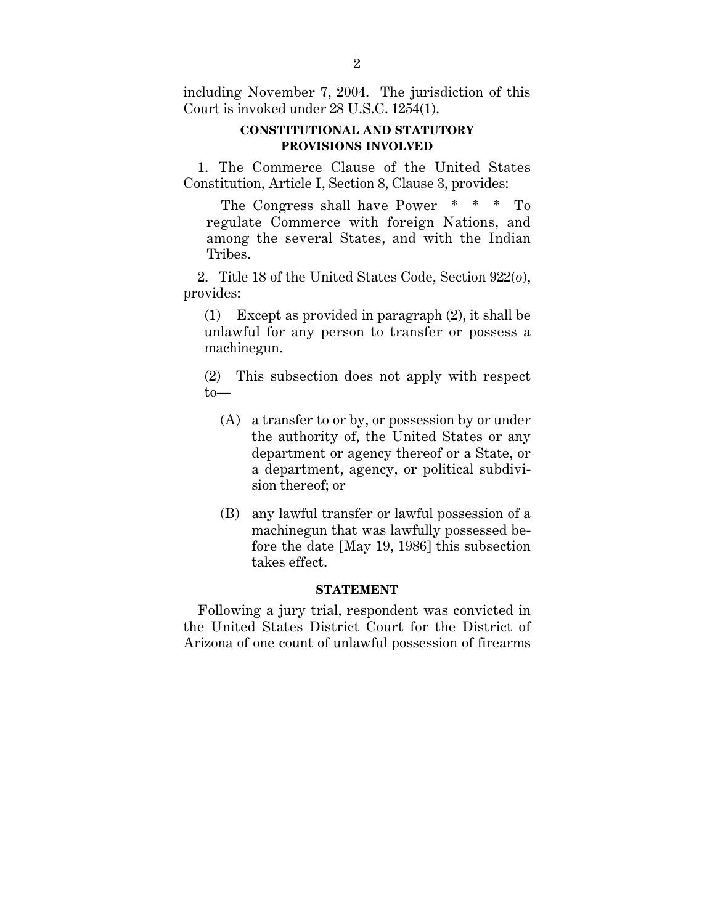including November 7, 2004. The jurisdiction of this Court is invoked under 28 U.S.C. 1254(1).

## **CONSTITUTIONAL AND STATUTORY PROVISIONS INVOLVED**

1. The Commerce Clause of the United States Constitution, Article I, Section 8, Clause 3, provides:

The Congress shall have Power \* \* \* To regulate Commerce with foreign Nations, and among the several States, and with the Indian Tribes.

2. Title 18 of the United States Code, Section 922(*o*), provides:

(1) Except as provided in paragraph (2), it shall be unlawful for any person to transfer or possess a machinegun.

(2) This subsection does not apply with respect to—

- (A) a transfer to or by, or possession by or under the authority of, the United States or any department or agency thereof or a State, or a department, agency, or political subdivision thereof; or
- (B) any lawful transfer or lawful possession of a machinegun that was lawfully possessed before the date [May 19, 1986] this subsection takes effect.

#### **STATEMENT**

Following a jury trial, respondent was convicted in the United States District Court for the District of Arizona of one count of unlawful possession of firearms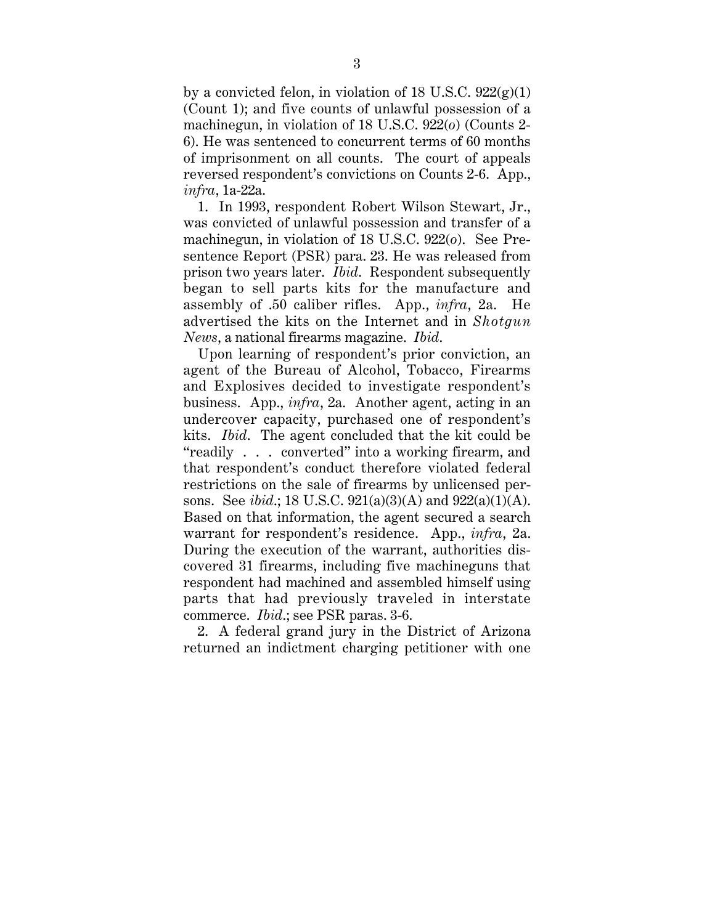by a convicted felon, in violation of 18 U.S.C.  $922(g)(1)$ (Count 1); and five counts of unlawful possession of a machinegun, in violation of 18 U.S.C. 922(*o*) (Counts 2- 6). He was sentenced to concurrent terms of 60 months of imprisonment on all counts. The court of appeals reversed respondent's convictions on Counts 2-6. App., *infra*, 1a-22a.

1. In 1993, respondent Robert Wilson Stewart, Jr., was convicted of unlawful possession and transfer of a machinegun, in violation of 18 U.S.C. 922(*o*). See Presentence Report (PSR) para. 23. He was released from prison two years later. *Ibid*. Respondent subsequently began to sell parts kits for the manufacture and assembly of .50 caliber rifles. App., *infra*, 2a. He advertised the kits on the Internet and in *Shotgun News*, a national firearms magazine. *Ibid*.

Upon learning of respondent's prior conviction, an agent of the Bureau of Alcohol, Tobacco, Firearms and Explosives decided to investigate respondent's business. App., *infra*, 2a. Another agent, acting in an undercover capacity, purchased one of respondent's kits. *Ibid*. The agent concluded that the kit could be "readily . . . converted" into a working firearm, and that respondent's conduct therefore violated federal restrictions on the sale of firearms by unlicensed persons. See *ibid*.; 18 U.S.C. 921(a)(3)(A) and 922(a)(1)(A). Based on that information, the agent secured a search warrant for respondent's residence. App., *infra*, 2a. During the execution of the warrant, authorities discovered 31 firearms, including five machineguns that respondent had machined and assembled himself using parts that had previously traveled in interstate commerce. *Ibid*.; see PSR paras. 3-6.

2. A federal grand jury in the District of Arizona returned an indictment charging petitioner with one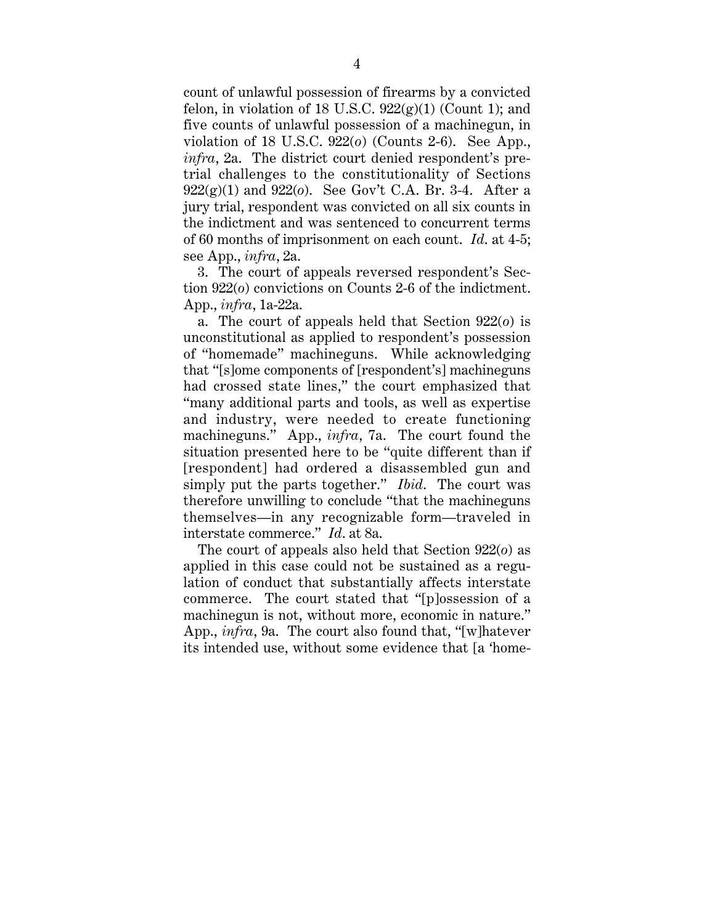count of unlawful possession of firearms by a convicted felon, in violation of 18 U.S.C.  $922(g)(1)$  (Count 1); and five counts of unlawful possession of a machinegun, in violation of 18 U.S.C. 922(*o*) (Counts 2-6). See App., *infra*, 2a. The district court denied respondent's pretrial challenges to the constitutionality of Sections 922(g)(1) and 922(*o*). See Gov't C.A. Br. 3-4. After a jury trial, respondent was convicted on all six counts in the indictment and was sentenced to concurrent terms of 60 months of imprisonment on each count. *Id*. at 4-5; see App., *infra*, 2a.

3. The court of appeals reversed respondent's Section 922(*o*) convictions on Counts 2-6 of the indictment. App., *infra*, 1a-22a.

a. The court of appeals held that Section 922(*o*) is unconstitutional as applied to respondent's possession of "homemade" machineguns. While acknowledging that "[s]ome components of [respondent's] machineguns had crossed state lines," the court emphasized that "many additional parts and tools, as well as expertise and industry, were needed to create functioning machineguns." App., *infra*, 7a. The court found the situation presented here to be "quite different than if [respondent] had ordered a disassembled gun and simply put the parts together." *Ibid*. The court was therefore unwilling to conclude "that the machineguns themselves—in any recognizable form—traveled in interstate commerce." *Id*. at 8a.

The court of appeals also held that Section 922(*o*) as applied in this case could not be sustained as a regulation of conduct that substantially affects interstate commerce. The court stated that "[p]ossession of a machinegun is not, without more, economic in nature." App., *infra*, 9a. The court also found that, "[w]hatever its intended use, without some evidence that [a 'home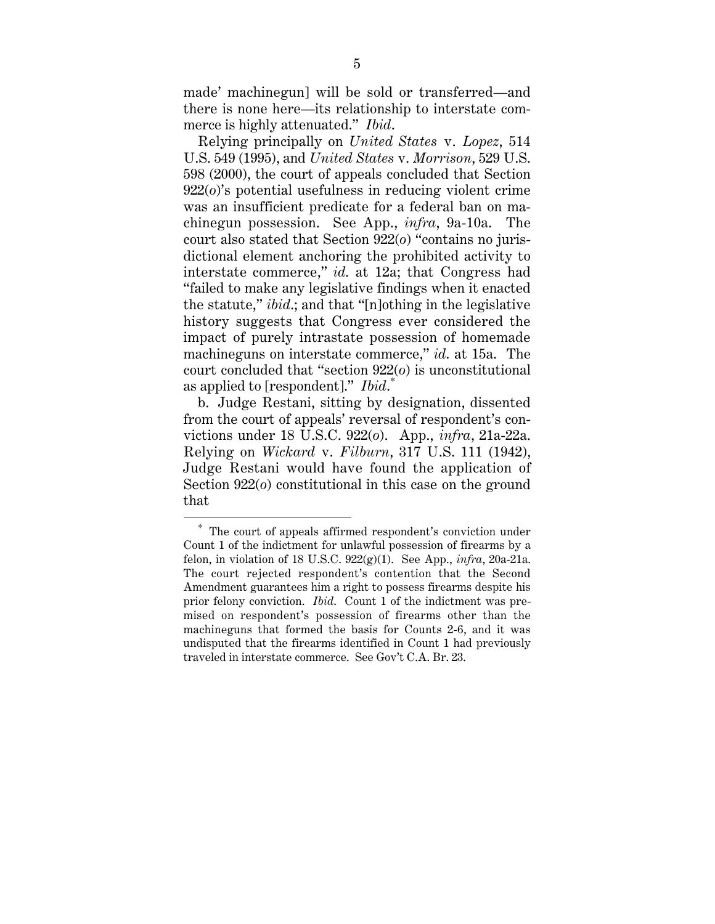made' machinegun] will be sold or transferred—and there is none here—its relationship to interstate commerce is highly attenuated." *Ibid*.

Relying principally on *United States* v. *Lopez*, 514 U.S. 549 (1995), and *United States* v. *Morrison*, 529 U.S. 598 (2000), the court of appeals concluded that Section 922(*o*)'s potential usefulness in reducing violent crime was an insufficient predicate for a federal ban on machinegun possession. See App., *infra*, 9a-10a. The court also stated that Section 922(*o*) "contains no jurisdictional element anchoring the prohibited activity to interstate commerce," *id*. at 12a; that Congress had "failed to make any legislative findings when it enacted the statute," *ibid*.; and that "[n]othing in the legislative history suggests that Congress ever considered the impact of purely intrastate possession of homemade machineguns on interstate commerce," *id*. at 15a. The court concluded that "section 922(*o*) is unconstitutional as applied to [respondent]." *Ibid*. \*

b. Judge Restani, sitting by designation, dissented from the court of appeals' reversal of respondent's convictions under 18 U.S.C. 922(*o*). App., *infra*, 21a-22a. Relying on *Wickard* v. *Filburn*, 317 U.S. 111 (1942), Judge Restani would have found the application of Section 922(*o*) constitutional in this case on the ground that

<sup>\*</sup> The court of appeals affirmed respondent's conviction under Count 1 of the indictment for unlawful possession of firearms by a felon, in violation of 18 U.S.C. 922(g)(1). See App., *infra*, 20a-21a. The court rejected respondent's contention that the Second Amendment guarantees him a right to possess firearms despite his prior felony conviction. *Ibid*. Count 1 of the indictment was premised on respondent's possession of firearms other than the machineguns that formed the basis for Counts 2-6, and it was undisputed that the firearms identified in Count 1 had previously traveled in interstate commerce. See Gov't C.A. Br. 23.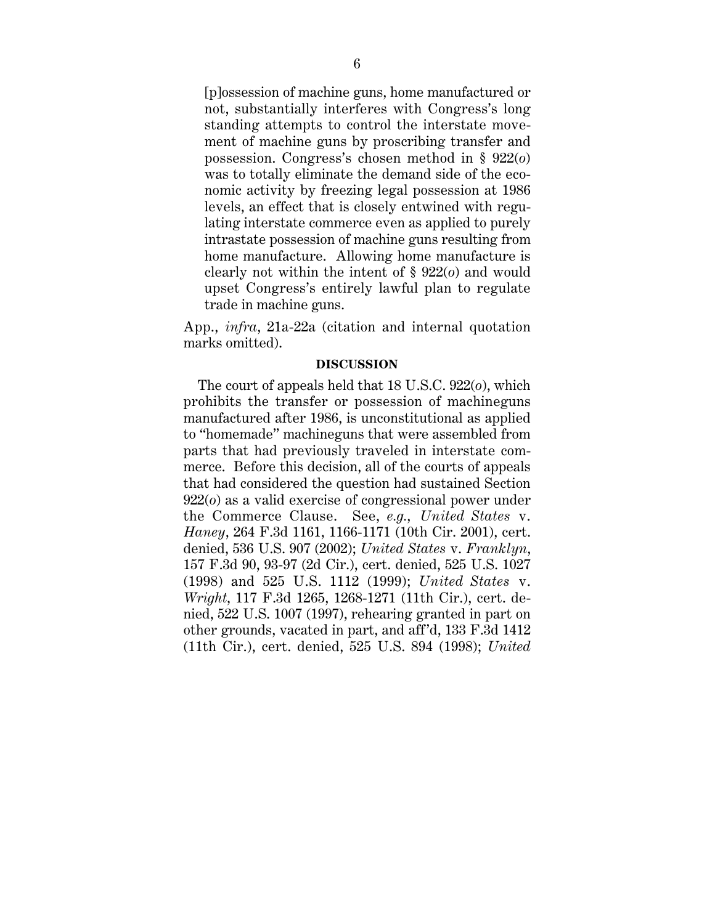[p]ossession of machine guns, home manufactured or not, substantially interferes with Congress's long standing attempts to control the interstate movement of machine guns by proscribing transfer and possession. Congress's chosen method in § 922(*o*) was to totally eliminate the demand side of the economic activity by freezing legal possession at 1986 levels, an effect that is closely entwined with regulating interstate commerce even as applied to purely intrastate possession of machine guns resulting from home manufacture. Allowing home manufacture is clearly not within the intent of § 922(*o*) and would upset Congress's entirely lawful plan to regulate trade in machine guns.

App., *infra*, 21a-22a (citation and internal quotation marks omitted).

#### **DISCUSSION**

The court of appeals held that 18 U.S.C. 922(*o*), which prohibits the transfer or possession of machineguns manufactured after 1986, is unconstitutional as applied to "homemade" machineguns that were assembled from parts that had previously traveled in interstate commerce. Before this decision, all of the courts of appeals that had considered the question had sustained Section 922(*o*) as a valid exercise of congressional power under the Commerce Clause. See, *e.g.*, *United States* v. *Haney*, 264 F.3d 1161, 1166-1171 (10th Cir. 2001), cert. denied, 536 U.S. 907 (2002); *United States* v. *Franklyn*, 157 F.3d 90, 93-97 (2d Cir.), cert. denied, 525 U.S. 1027 (1998) and 525 U.S. 1112 (1999); *United States* v. *Wright*, 117 F.3d 1265, 1268-1271 (11th Cir.), cert. denied, 522 U.S. 1007 (1997), rehearing granted in part on other grounds, vacated in part, and aff 'd, 133 F.3d 1412 (11th Cir.), cert. denied, 525 U.S. 894 (1998); *United*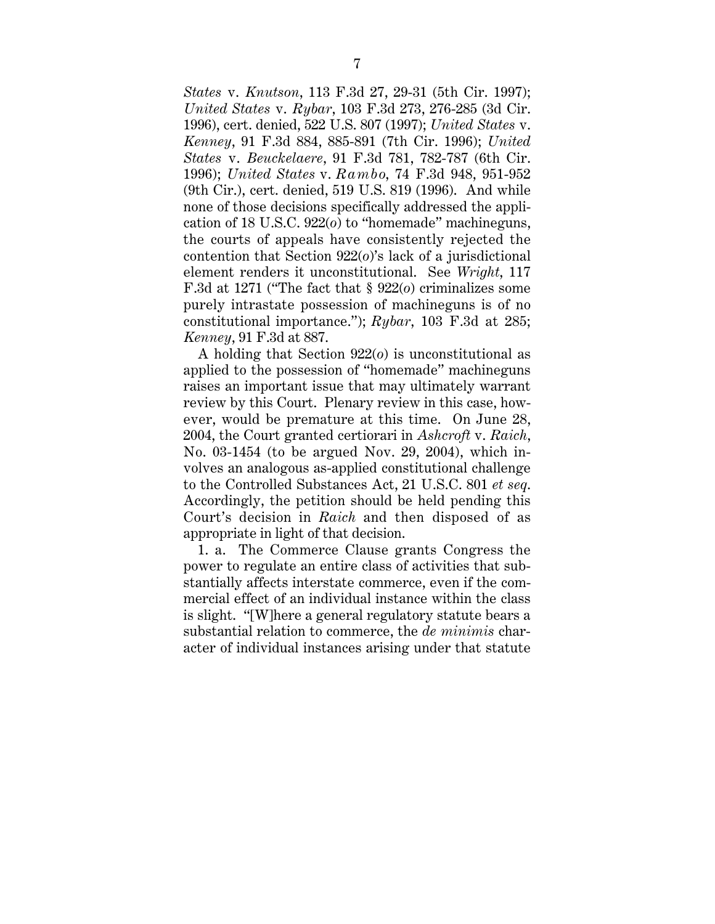*States* v. *Knutson*, 113 F.3d 27, 29-31 (5th Cir. 1997); *United States* v. *Rybar*, 103 F.3d 273, 276-285 (3d Cir. 1996), cert. denied, 522 U.S. 807 (1997); *United States* v. *Kenney*, 91 F.3d 884, 885-891 (7th Cir. 1996); *United States* v. *Beuckelaere*, 91 F.3d 781, 782-787 (6th Cir. 1996); *United States* v. *Rambo*, 74 F.3d 948, 951-952 (9th Cir.), cert. denied, 519 U.S. 819 (1996). And while none of those decisions specifically addressed the application of 18 U.S.C. 922(*o*) to "homemade" machineguns, the courts of appeals have consistently rejected the contention that Section 922(*o*)'s lack of a jurisdictional element renders it unconstitutional. See *Wright*, 117 F.3d at 1271 ("The fact that § 922(*o*) criminalizes some purely intrastate possession of machineguns is of no constitutional importance."); *Rybar*, 103 F.3d at 285; *Kenney*, 91 F.3d at 887.

A holding that Section 922(*o*) is unconstitutional as applied to the possession of "homemade" machineguns raises an important issue that may ultimately warrant review by this Court. Plenary review in this case, however, would be premature at this time. On June 28, 2004, the Court granted certiorari in *Ashcroft* v. *Raich*, No. 03-1454 (to be argued Nov. 29, 2004), which involves an analogous as-applied constitutional challenge to the Controlled Substances Act, 21 U.S.C. 801 *et seq*. Accordingly, the petition should be held pending this Court's decision in *Raich* and then disposed of as appropriate in light of that decision.

1. a. The Commerce Clause grants Congress the power to regulate an entire class of activities that substantially affects interstate commerce, even if the commercial effect of an individual instance within the class is slight. "[W]here a general regulatory statute bears a substantial relation to commerce, the *de minimis* character of individual instances arising under that statute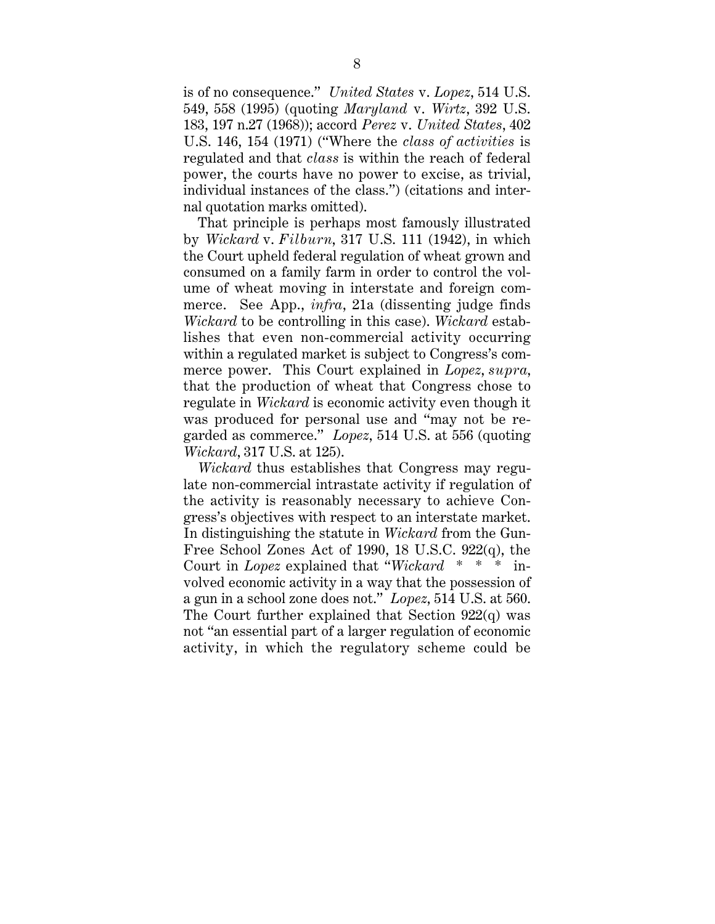is of no consequence." *United States* v. *Lopez*, 514 U.S. 549, 558 (1995) (quoting *Maryland* v. *Wirtz*, 392 U.S. 183, 197 n.27 (1968)); accord *Perez* v. *United States*, 402 U.S. 146, 154 (1971) ("Where the *class of activities* is regulated and that *class* is within the reach of federal power, the courts have no power to excise, as trivial, individual instances of the class.") (citations and internal quotation marks omitted).

That principle is perhaps most famously illustrated by *Wickard* v. *Filburn*, 317 U.S. 111 (1942), in which the Court upheld federal regulation of wheat grown and consumed on a family farm in order to control the volume of wheat moving in interstate and foreign commerce. See App., *infra*, 21a (dissenting judge finds *Wickard* to be controlling in this case). *Wickard* establishes that even non-commercial activity occurring within a regulated market is subject to Congress's commerce power. This Court explained in *Lopez*, *supra*, that the production of wheat that Congress chose to regulate in *Wickard* is economic activity even though it was produced for personal use and "may not be regarded as commerce." *Lopez*, 514 U.S. at 556 (quoting *Wickard*, 317 U.S. at 125).

*Wickard* thus establishes that Congress may regulate non-commercial intrastate activity if regulation of the activity is reasonably necessary to achieve Congress's objectives with respect to an interstate market. In distinguishing the statute in *Wickard* from the Gun-Free School Zones Act of 1990, 18 U.S.C. 922(q), the Court in *Lopez* explained that "*Wickard* \* \* \* involved economic activity in a way that the possession of a gun in a school zone does not." *Lopez*, 514 U.S. at 560. The Court further explained that Section  $922(q)$  was not "an essential part of a larger regulation of economic activity, in which the regulatory scheme could be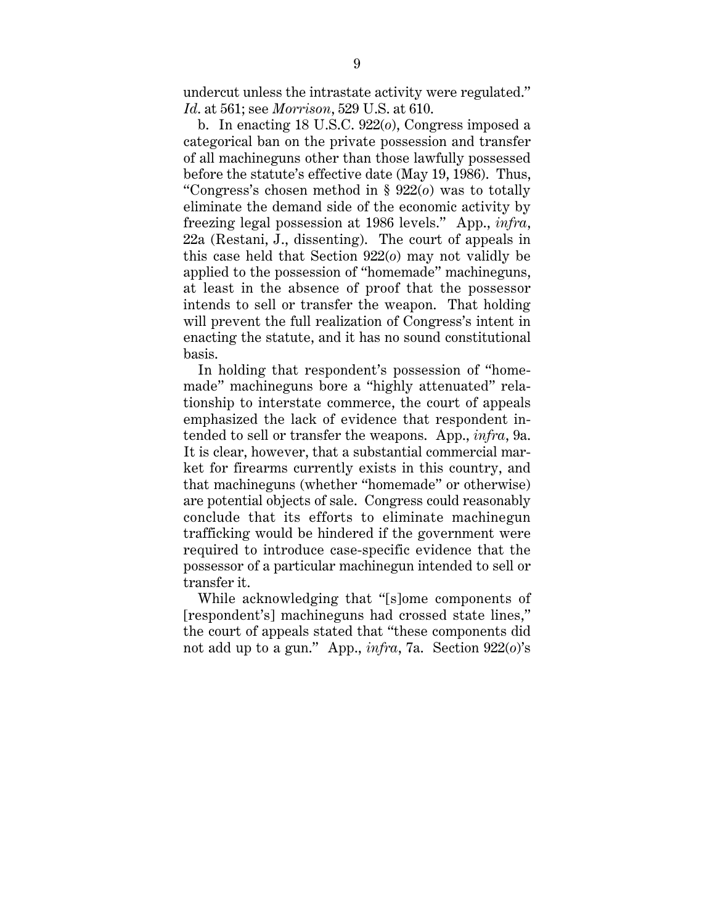undercut unless the intrastate activity were regulated." *Id*. at 561; see *Morrison*, 529 U.S. at 610.

b. In enacting 18 U.S.C. 922(*o*), Congress imposed a categorical ban on the private possession and transfer of all machineguns other than those lawfully possessed before the statute's effective date (May 19, 1986). Thus, "Congress's chosen method in § 922(*o*) was to totally eliminate the demand side of the economic activity by freezing legal possession at 1986 levels." App., *infra*, 22a (Restani, J., dissenting). The court of appeals in this case held that Section 922(*o*) may not validly be applied to the possession of "homemade" machineguns, at least in the absence of proof that the possessor intends to sell or transfer the weapon. That holding will prevent the full realization of Congress's intent in enacting the statute, and it has no sound constitutional basis.

In holding that respondent's possession of "homemade" machineguns bore a "highly attenuated" relationship to interstate commerce, the court of appeals emphasized the lack of evidence that respondent intended to sell or transfer the weapons. App., *infra*, 9a. It is clear, however, that a substantial commercial market for firearms currently exists in this country, and that machineguns (whether "homemade" or otherwise) are potential objects of sale. Congress could reasonably conclude that its efforts to eliminate machinegun trafficking would be hindered if the government were required to introduce case-specific evidence that the possessor of a particular machinegun intended to sell or transfer it.

While acknowledging that "[s]ome components of [respondent's] machineguns had crossed state lines," the court of appeals stated that "these components did not add up to a gun." App., *infra*, 7a. Section 922(*o*)'s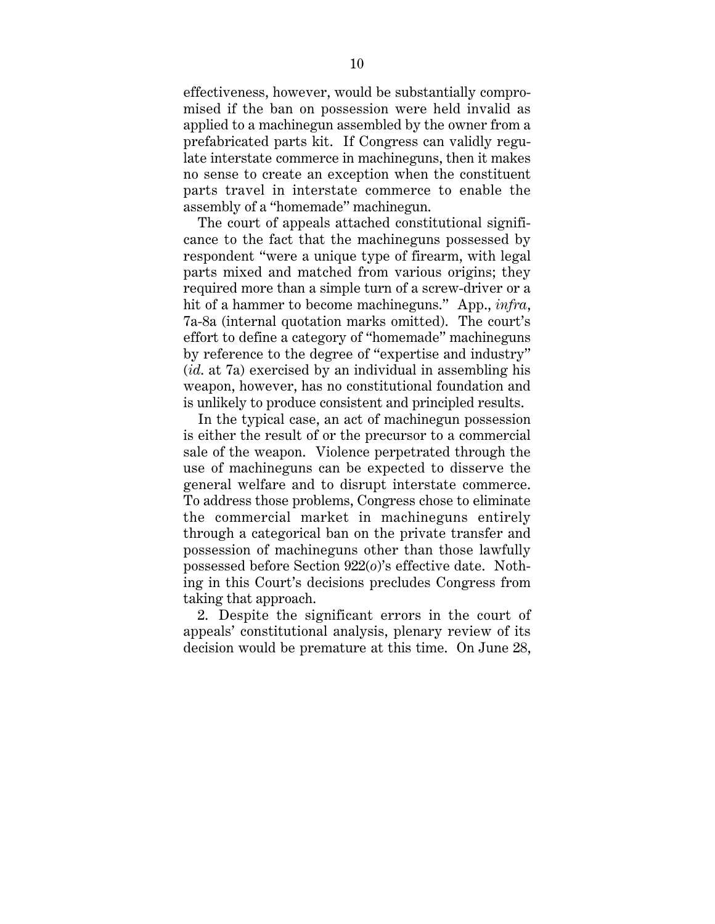effectiveness, however, would be substantially compromised if the ban on possession were held invalid as applied to a machinegun assembled by the owner from a prefabricated parts kit. If Congress can validly regulate interstate commerce in machineguns, then it makes no sense to create an exception when the constituent parts travel in interstate commerce to enable the assembly of a "homemade" machinegun.

The court of appeals attached constitutional significance to the fact that the machineguns possessed by respondent "were a unique type of firearm, with legal parts mixed and matched from various origins; they required more than a simple turn of a screw-driver or a hit of a hammer to become machineguns." App., *infra*, 7a-8a (internal quotation marks omitted). The court's effort to define a category of "homemade" machineguns by reference to the degree of "expertise and industry" (*id*. at 7a) exercised by an individual in assembling his weapon, however, has no constitutional foundation and is unlikely to produce consistent and principled results.

In the typical case, an act of machinegun possession is either the result of or the precursor to a commercial sale of the weapon. Violence perpetrated through the use of machineguns can be expected to disserve the general welfare and to disrupt interstate commerce. To address those problems, Congress chose to eliminate the commercial market in machineguns entirely through a categorical ban on the private transfer and possession of machineguns other than those lawfully possessed before Section 922(*o*)'s effective date. Nothing in this Court's decisions precludes Congress from taking that approach.

2. Despite the significant errors in the court of appeals' constitutional analysis, plenary review of its decision would be premature at this time. On June 28,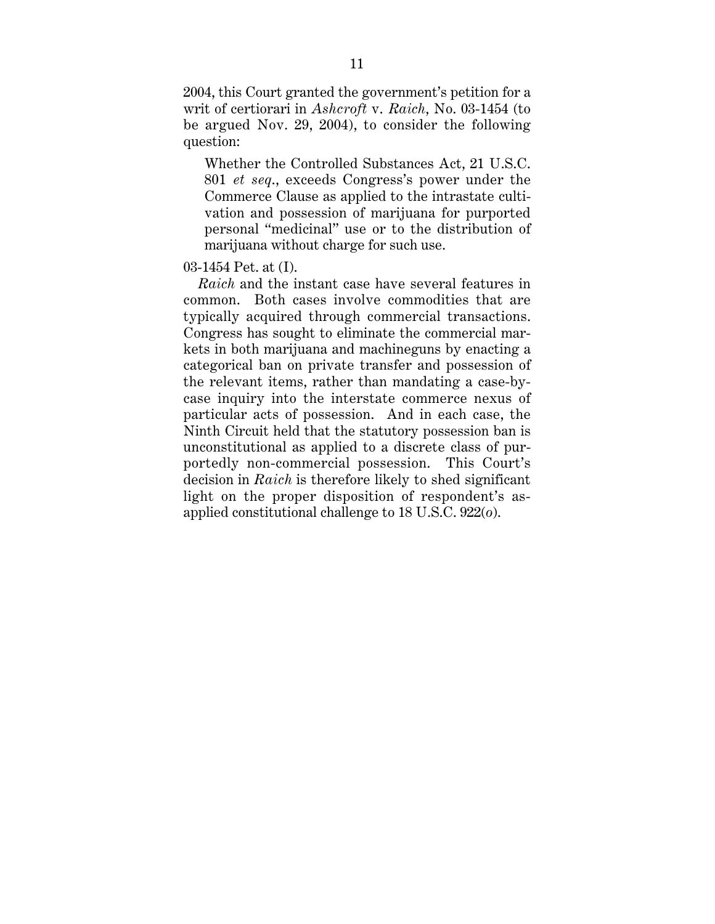2004, this Court granted the government's petition for a writ of certiorari in *Ashcroft* v. *Raich*, No. 03-1454 (to be argued Nov. 29, 2004), to consider the following question:

Whether the Controlled Substances Act, 21 U.S.C. 801 *et seq*., exceeds Congress's power under the Commerce Clause as applied to the intrastate cultivation and possession of marijuana for purported personal "medicinal" use or to the distribution of marijuana without charge for such use.

## 03-1454 Pet. at (I).

*Raich* and the instant case have several features in common. Both cases involve commodities that are typically acquired through commercial transactions. Congress has sought to eliminate the commercial markets in both marijuana and machineguns by enacting a categorical ban on private transfer and possession of the relevant items, rather than mandating a case-bycase inquiry into the interstate commerce nexus of particular acts of possession. And in each case, the Ninth Circuit held that the statutory possession ban is unconstitutional as applied to a discrete class of purportedly non-commercial possession. This Court's decision in *Raich* is therefore likely to shed significant light on the proper disposition of respondent's asapplied constitutional challenge to 18 U.S.C. 922(*o*).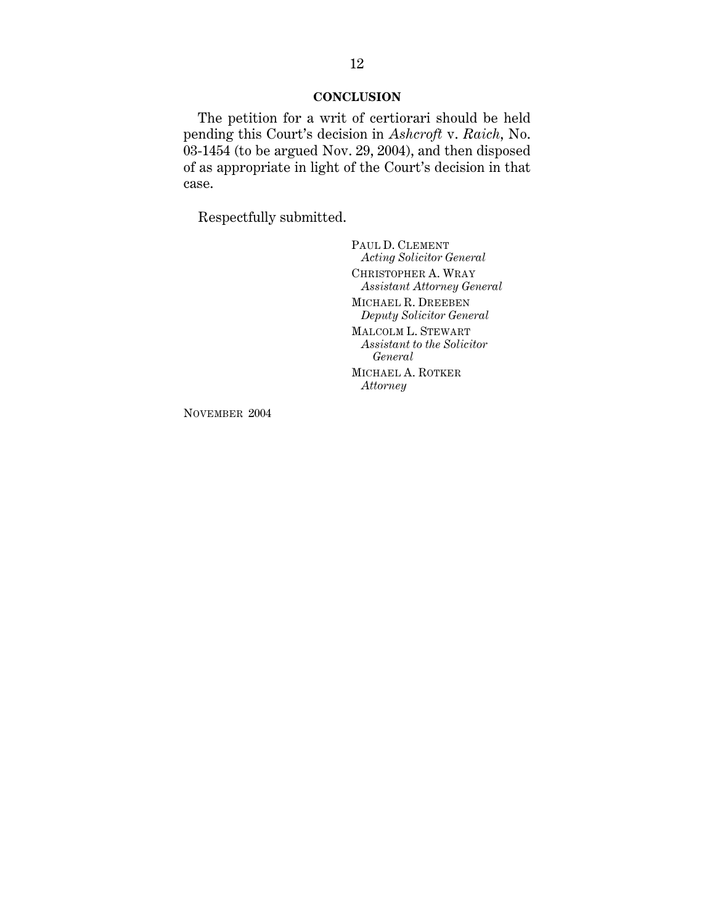## **CONCLUSION**

The petition for a writ of certiorari should be held pending this Court's decision in *Ashcroft* v. *Raich*, No. 03-1454 (to be argued Nov. 29, 2004), and then disposed of as appropriate in light of the Court's decision in that case.

Respectfully submitted.

PAUL D. CLEMENT *Acting Solicitor General* CHRISTOPHER A. WRAY *Assistant Attorney General* MICHAEL R. DREEBEN *Deputy Solicitor General* MALCOLM L. STEWART *Assistant to the Solicitor General* MICHAEL A. ROTKER *Attorney*

NOVEMBER 2004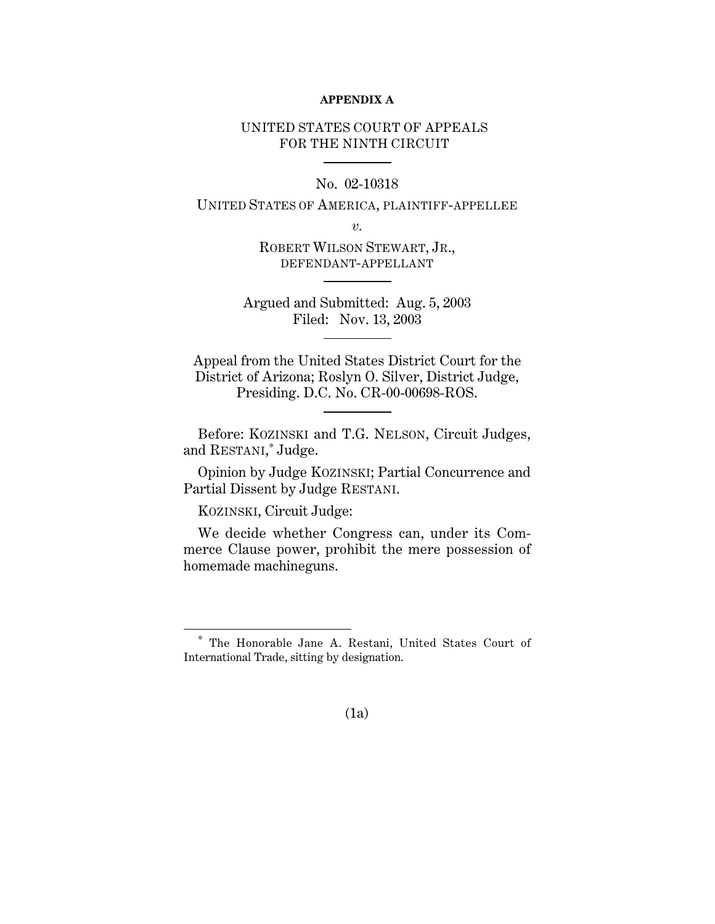#### **APPENDIX A**

## UNITED STATES COURT OF APPEALS FOR THE NINTH CIRCUIT

## No. 02-10318

## UNITED STATES OF AMERICA, PLAINTIFF-APPELLEE

*v.*

ROBERT WILSON STEWART, JR., DEFENDANT-APPELLANT

Argued and Submitted: Aug. 5, 2003 Filed: Nov. 13, 2003

Appeal from the United States District Court for the District of Arizona; Roslyn O. Silver, District Judge, Presiding. D.C. No. CR-00-00698-ROS.

Before: KOZINSKI and T.G. NELSON, Circuit Judges, and RESTANI, \* Judge.

Opinion by Judge KOZINSKI; Partial Concurrence and Partial Dissent by Judge RESTANI.

KOZINSKI, Circuit Judge:

 $\overline{a}$ 

We decide whether Congress can, under its Commerce Clause power, prohibit the mere possession of homemade machineguns.

## (1a)

<sup>\*</sup> The Honorable Jane A. Restani, United States Court of International Trade, sitting by designation.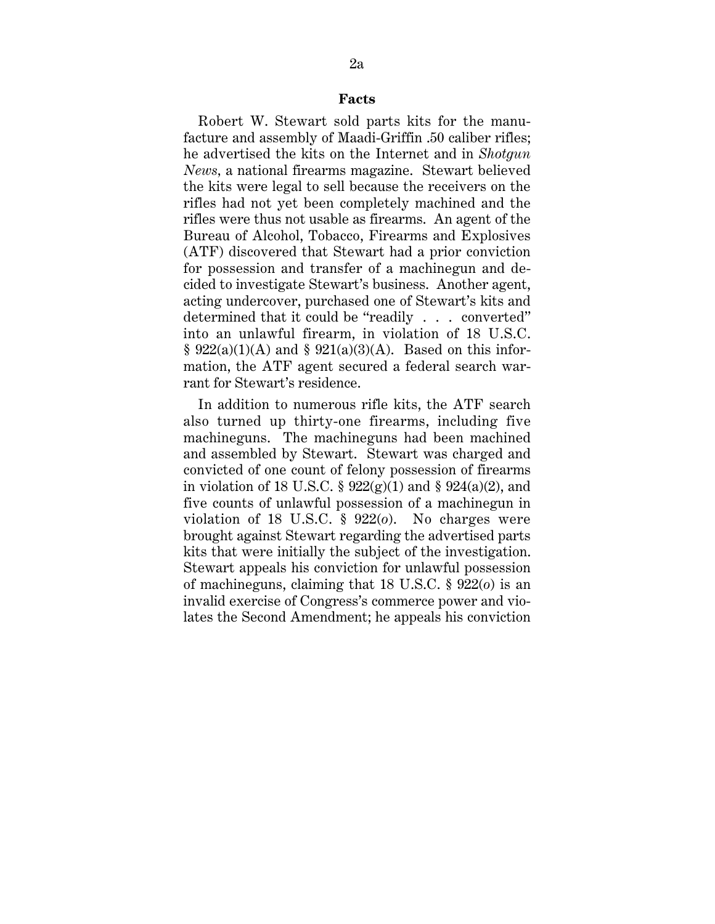#### **Facts**

Robert W. Stewart sold parts kits for the manufacture and assembly of Maadi-Griffin .50 caliber rifles; he advertised the kits on the Internet and in *Shotgun News,* a national firearms magazine. Stewart believed the kits were legal to sell because the receivers on the rifles had not yet been completely machined and the rifles were thus not usable as firearms. An agent of the Bureau of Alcohol, Tobacco, Firearms and Explosives (ATF) discovered that Stewart had a prior conviction for possession and transfer of a machinegun and decided to investigate Stewart's business. Another agent, acting undercover, purchased one of Stewart's kits and determined that it could be "readily . . . converted" into an unlawful firearm, in violation of 18 U.S.C.  $§ 922(a)(1)(A)$  and  $§ 921(a)(3)(A)$ . Based on this information, the ATF agent secured a federal search warrant for Stewart's residence.

In addition to numerous rifle kits, the ATF search also turned up thirty-one firearms, including five machineguns. The machineguns had been machined and assembled by Stewart. Stewart was charged and convicted of one count of felony possession of firearms in violation of 18 U.S.C.  $\S 922(g)(1)$  and  $\S 924(a)(2)$ , and five counts of unlawful possession of a machinegun in violation of 18 U.S.C. § 922(*o*). No charges were brought against Stewart regarding the advertised parts kits that were initially the subject of the investigation. Stewart appeals his conviction for unlawful possession of machineguns, claiming that 18 U.S.C. § 922(*o*) is an invalid exercise of Congress's commerce power and violates the Second Amendment; he appeals his conviction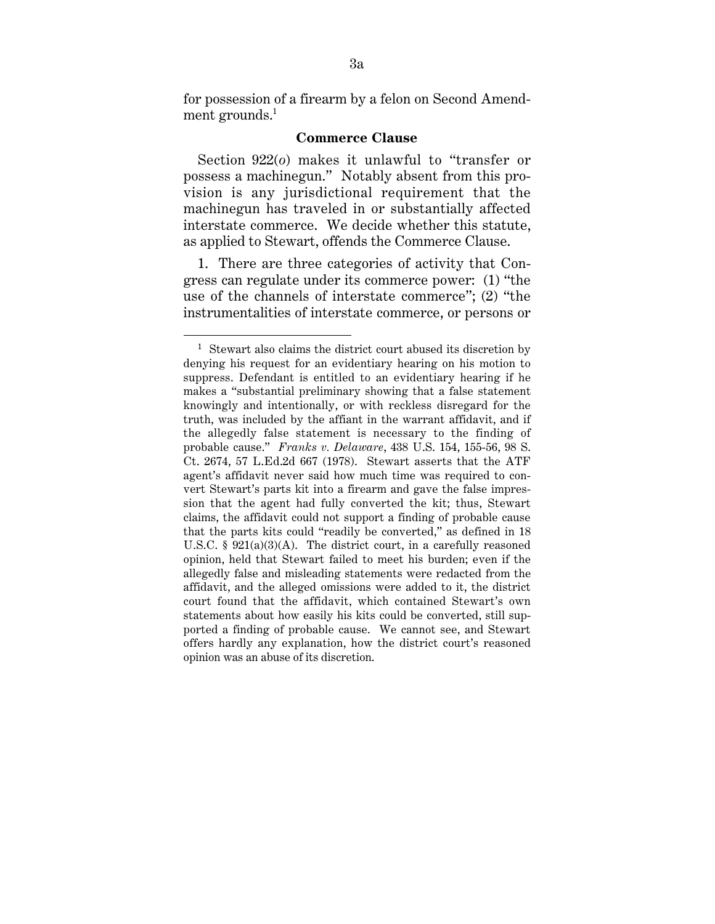for possession of a firearm by a felon on Second Amendment grounds. $<sup>1</sup>$ </sup>

#### **Commerce Clause**

Section 922(*o*) makes it unlawful to "transfer or possess a machinegun." Notably absent from this provision is any jurisdictional requirement that the machinegun has traveled in or substantially affected interstate commerce. We decide whether this statute, as applied to Stewart, offends the Commerce Clause.

1. There are three categories of activity that Congress can regulate under its commerce power: (1) "the use of the channels of interstate commerce"; (2) "the instrumentalities of interstate commerce, or persons or

<sup>1</sup> Stewart also claims the district court abused its discretion by denying his request for an evidentiary hearing on his motion to suppress. Defendant is entitled to an evidentiary hearing if he makes a "substantial preliminary showing that a false statement knowingly and intentionally, or with reckless disregard for the truth, was included by the affiant in the warrant affidavit, and if the allegedly false statement is necessary to the finding of probable cause." *Franks v. Delaware*, 438 U.S. 154, 155-56, 98 S. Ct. 2674, 57 L.Ed.2d 667 (1978). Stewart asserts that the ATF agent's affidavit never said how much time was required to convert Stewart's parts kit into a firearm and gave the false impression that the agent had fully converted the kit; thus, Stewart claims, the affidavit could not support a finding of probable cause that the parts kits could "readily be converted," as defined in 18 U.S.C. § 921(a)(3)(A). The district court, in a carefully reasoned opinion, held that Stewart failed to meet his burden; even if the allegedly false and misleading statements were redacted from the affidavit, and the alleged omissions were added to it, the district court found that the affidavit, which contained Stewart's own statements about how easily his kits could be converted, still supported a finding of probable cause. We cannot see, and Stewart offers hardly any explanation, how the district court's reasoned opinion was an abuse of its discretion.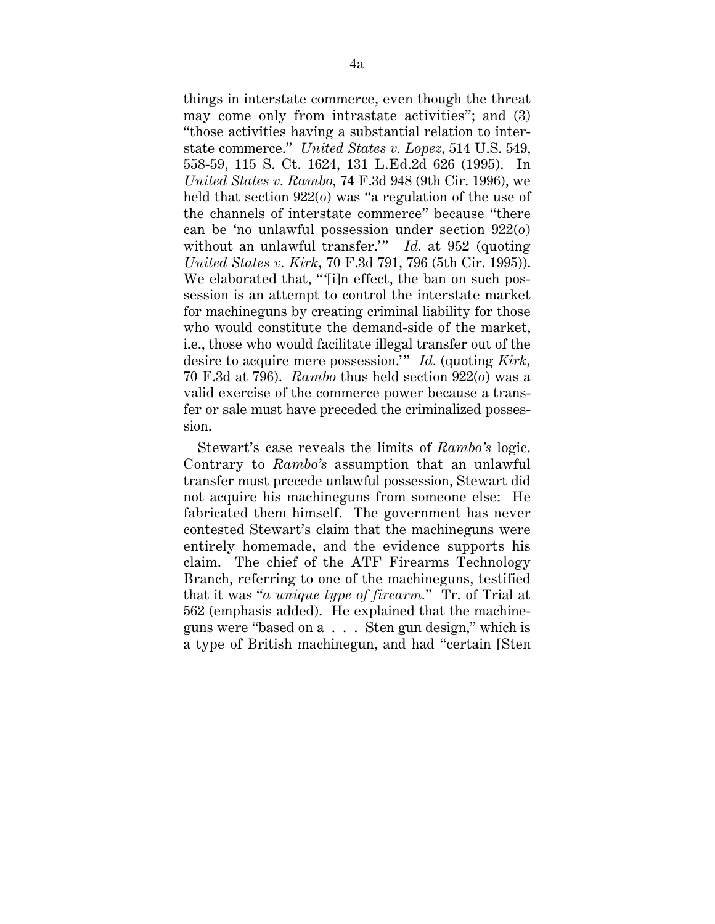things in interstate commerce, even though the threat may come only from intrastate activities"; and (3) "those activities having a substantial relation to interstate commerce." *United States v. Lopez,* 514 U.S. 549, 558-59, 115 S. Ct. 1624, 131 L.Ed.2d 626 (1995). In *United States v. Rambo,* 74 F.3d 948 (9th Cir. 1996), we held that section 922(*o*) was "a regulation of the use of the channels of interstate commerce" because "there can be 'no unlawful possession under section 922(*o*) without an unlawful transfer." *Id.* at 952 (quoting *United States v. Kirk,* 70 F.3d 791, 796 (5th Cir. 1995)). We elaborated that, "'[i]n effect, the ban on such possession is an attempt to control the interstate market for machineguns by creating criminal liability for those who would constitute the demand-side of the market, i.e., those who would facilitate illegal transfer out of the desire to acquire mere possession." *Id.* (quoting *Kirk,* 70 F.3d at 796). *Rambo* thus held section 922(*o*) was a valid exercise of the commerce power because a transfer or sale must have preceded the criminalized possession.

Stewart's case reveals the limits of *Rambo's* logic. Contrary to *Rambo's* assumption that an unlawful transfer must precede unlawful possession, Stewart did not acquire his machineguns from someone else: He fabricated them himself. The government has never contested Stewart's claim that the machineguns were entirely homemade, and the evidence supports his claim. The chief of the ATF Firearms Technology Branch, referring to one of the machineguns, testified that it was "*a unique type of firearm.*" Tr. of Trial at 562 (emphasis added). He explained that the machineguns were "based on a . . . Sten gun design," which is a type of British machinegun, and had "certain [Sten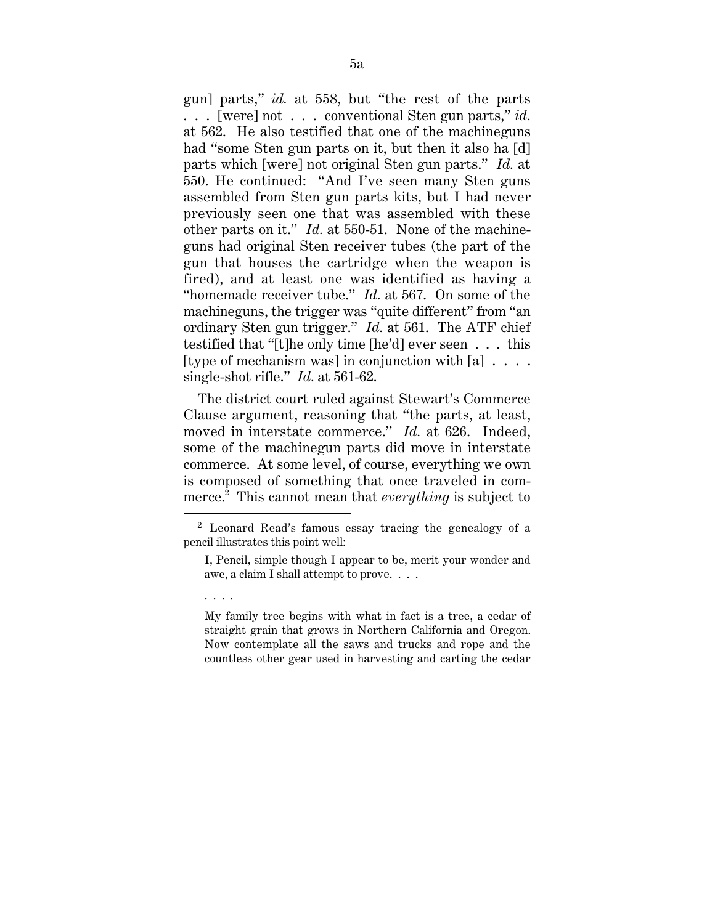gun] parts," *id.* at 558, but "the rest of the parts . . . [were] not . . . conventional Sten gun parts," *id.* at 562. He also testified that one of the machineguns had "some Sten gun parts on it, but then it also ha [d] parts which [were] not original Sten gun parts." *Id.* at 550. He continued: "And I've seen many Sten guns assembled from Sten gun parts kits, but I had never previously seen one that was assembled with these other parts on it." *Id.* at 550-51. None of the machineguns had original Sten receiver tubes (the part of the gun that houses the cartridge when the weapon is fired), and at least one was identified as having a "homemade receiver tube." *Id.* at 567. On some of the machineguns, the trigger was "quite different" from "an ordinary Sten gun trigger." *Id.* at 561. The ATF chief testified that "[t]he only time [he'd] ever seen . . . this [type of mechanism was] in conjunction with  $[a]$ ... single-shot rifle." *Id.* at 561-62.

The district court ruled against Stewart's Commerce Clause argument, reasoning that "the parts, at least, moved in interstate commerce." *Id.* at 626. Indeed, some of the machinegun parts did move in interstate commerce. At some level, of course, everything we own is composed of something that once traveled in commerce.2 This cannot mean that *everything* is subject to

 $\overline{a}$ 

. . . .

<sup>2</sup> Leonard Read's famous essay tracing the genealogy of a pencil illustrates this point well:

I, Pencil, simple though I appear to be, merit your wonder and awe, a claim I shall attempt to prove. . . .

My family tree begins with what in fact is a tree, a cedar of straight grain that grows in Northern California and Oregon. Now contemplate all the saws and trucks and rope and the countless other gear used in harvesting and carting the cedar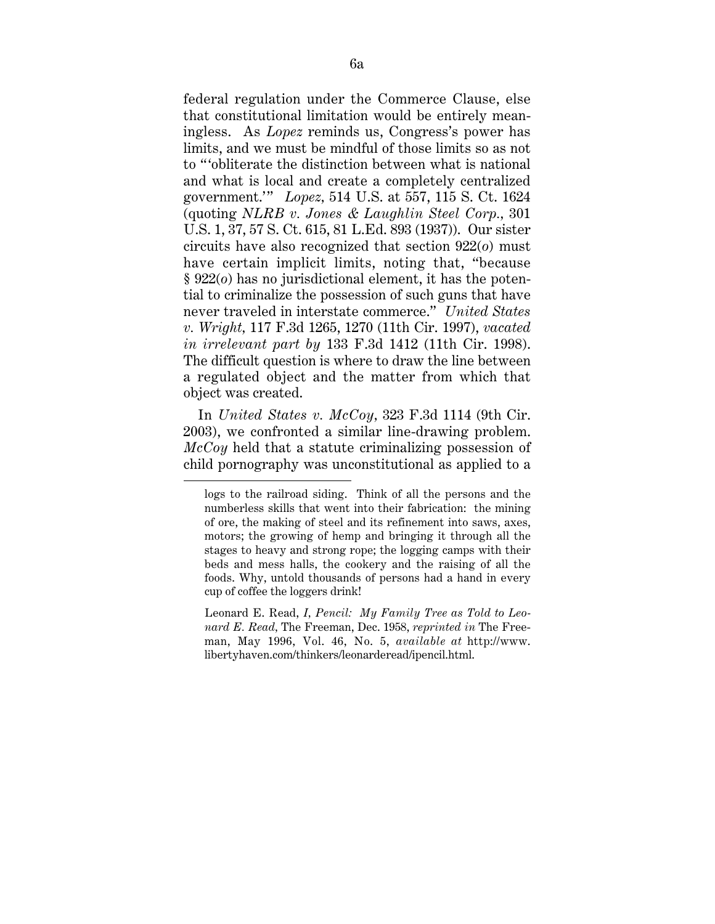federal regulation under the Commerce Clause, else that constitutional limitation would be entirely meaningless. As *Lopez* reminds us, Congress's power has limits, and we must be mindful of those limits so as not to " 'obliterate the distinction between what is national and what is local and create a completely centralized government." *Lopez*, 514 U.S. at 557, 115 S. Ct. 1624 (quoting *NLRB v. Jones & Laughlin Steel Corp.,* 301 U.S. 1, 37, 57 S. Ct. 615, 81 L.Ed. 893 (1937)). Our sister circuits have also recognized that section 922(*o*) must have certain implicit limits, noting that, "because § 922(*o*) has no jurisdictional element, it has the potential to criminalize the possession of such guns that have never traveled in interstate commerce." *United States v. Wright,* 117 F.3d 1265, 1270 (11th Cir. 1997), *vacated in irrelevant part by* 133 F.3d 1412 (11th Cir. 1998). The difficult question is where to draw the line between a regulated object and the matter from which that object was created.

In *United States v. McCoy,* 323 F.3d 1114 (9th Cir. 2003), we confronted a similar line-drawing problem. *McCoy* held that a statute criminalizing possession of child pornography was unconstitutional as applied to a

 $\overline{a}$ 

Leonard E. Read, *I, Pencil: My Family Tree as Told to Leonard E. Read,* The Freeman, Dec. 1958, *reprinted in* The Freeman, May 1996, Vol. 46, No. 5, *available at* http://www. libertyhaven.com/thinkers/leonarderead/ipencil.html.

logs to the railroad siding. Think of all the persons and the numberless skills that went into their fabrication: the mining of ore, the making of steel and its refinement into saws, axes, motors; the growing of hemp and bringing it through all the stages to heavy and strong rope; the logging camps with their beds and mess halls, the cookery and the raising of all the foods. Why, untold thousands of persons had a hand in every cup of coffee the loggers drink!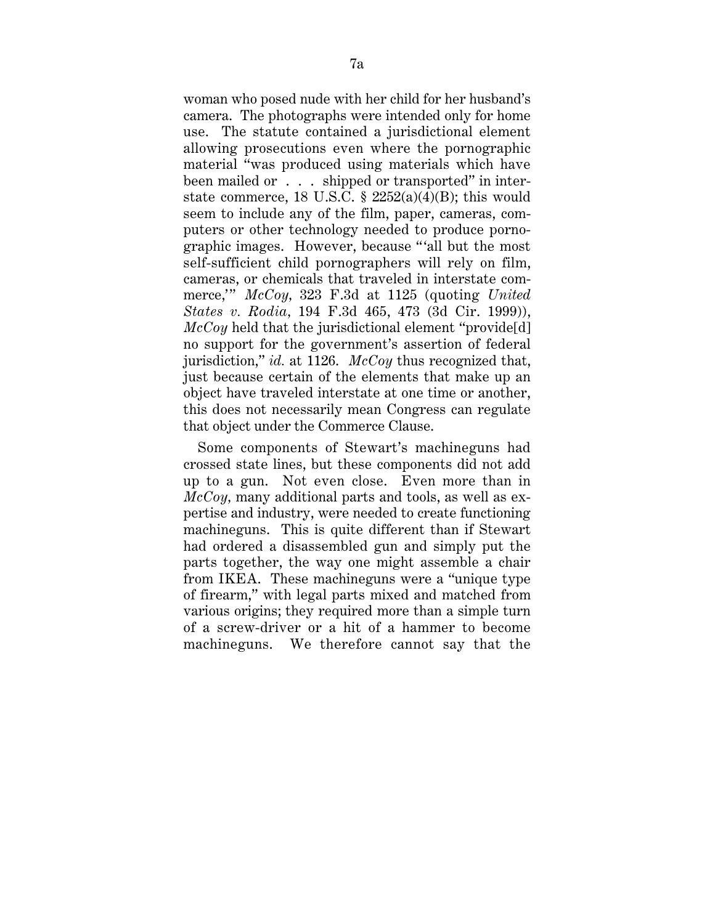woman who posed nude with her child for her husband's camera. The photographs were intended only for home use. The statute contained a jurisdictional element allowing prosecutions even where the pornographic material "was produced using materials which have been mailed or . . . shipped or transported" in interstate commerce, 18 U.S.C. §  $2252(a)(4)(B)$ ; this would seem to include any of the film, paper, cameras, computers or other technology needed to produce pornographic images. However, because " 'all but the most self-sufficient child pornographers will rely on film, cameras, or chemicals that traveled in interstate commerce," McCoy, 323 F.3d at 1125 (quoting *United States v. Rodia,* 194 F.3d 465, 473 (3d Cir. 1999)), *McCoy* held that the jurisdictional element "provide<sup>[d]</sup> no support for the government's assertion of federal jurisdiction," *id.* at 1126. *McCoy* thus recognized that, just because certain of the elements that make up an object have traveled interstate at one time or another, this does not necessarily mean Congress can regulate that object under the Commerce Clause.

Some components of Stewart's machineguns had crossed state lines, but these components did not add up to a gun. Not even close. Even more than in *McCoy,* many additional parts and tools, as well as expertise and industry, were needed to create functioning machineguns. This is quite different than if Stewart had ordered a disassembled gun and simply put the parts together, the way one might assemble a chair from IKEA. These machineguns were a "unique type of firearm," with legal parts mixed and matched from various origins; they required more than a simple turn of a screw-driver or a hit of a hammer to become machineguns. We therefore cannot say that the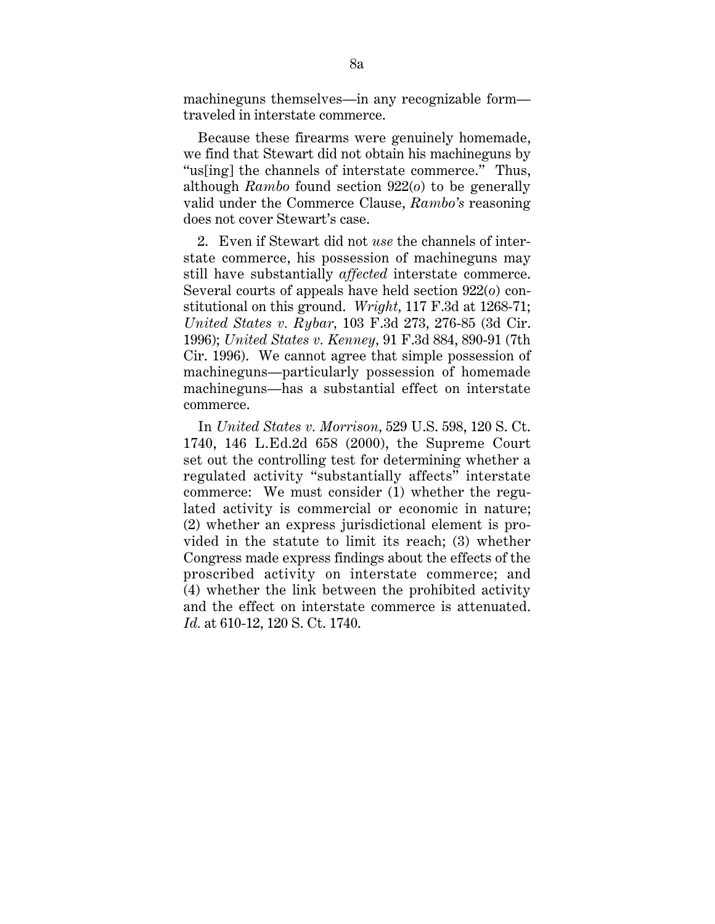machineguns themselves—in any recognizable form traveled in interstate commerce.

Because these firearms were genuinely homemade, we find that Stewart did not obtain his machineguns by "us[ing] the channels of interstate commerce." Thus, although *Rambo* found section 922(*o*) to be generally valid under the Commerce Clause, *Rambo's* reasoning does not cover Stewart's case.

2. Even if Stewart did not *use* the channels of interstate commerce, his possession of machineguns may still have substantially *affected* interstate commerce. Several courts of appeals have held section 922(*o*) constitutional on this ground. *Wright,* 117 F.3d at 1268-71; *United States v. Rybar,* 103 F.3d 273, 276-85 (3d Cir. 1996); *United States v. Kenney,* 91 F.3d 884, 890-91 (7th Cir. 1996). We cannot agree that simple possession of machineguns—particularly possession of homemade machineguns—has a substantial effect on interstate commerce.

In *United States v. Morrison,* 529 U.S. 598, 120 S. Ct. 1740, 146 L.Ed.2d 658 (2000), the Supreme Court set out the controlling test for determining whether a regulated activity "substantially affects" interstate commerce: We must consider (1) whether the regulated activity is commercial or economic in nature; (2) whether an express jurisdictional element is provided in the statute to limit its reach; (3) whether Congress made express findings about the effects of the proscribed activity on interstate commerce; and (4) whether the link between the prohibited activity and the effect on interstate commerce is attenuated. *Id.* at 610-12, 120 S. Ct. 1740.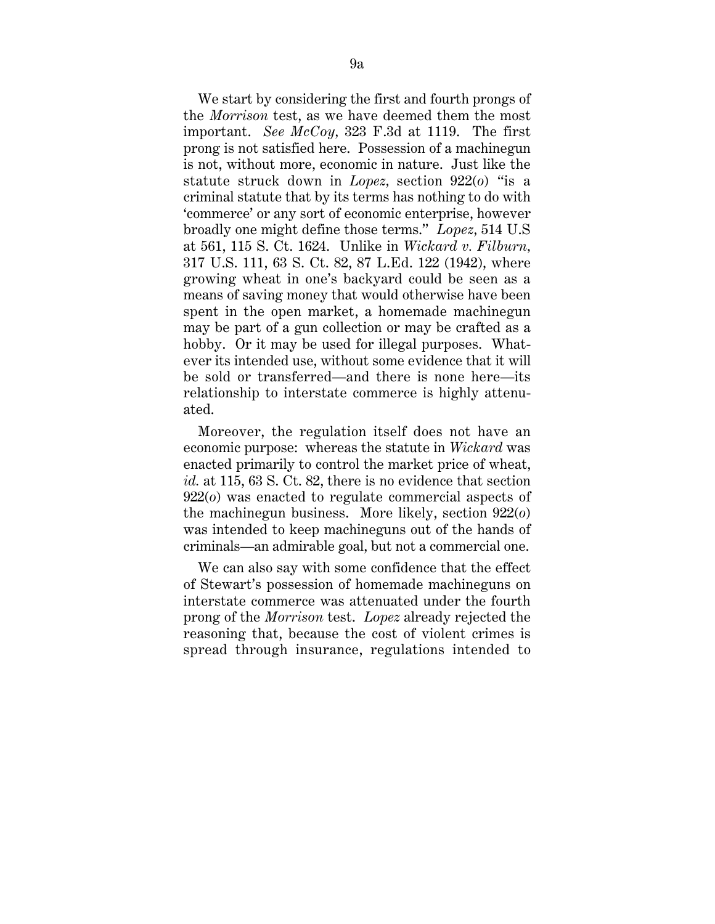We start by considering the first and fourth prongs of the *Morrison* test, as we have deemed them the most important. *See McCoy,* 323 F.3d at 1119. The first prong is not satisfied here. Possession of a machinegun is not, without more, economic in nature. Just like the statute struck down in *Lopez,* section 922(*o*) "is a criminal statute that by its terms has nothing to do with 'commerce' or any sort of economic enterprise, however broadly one might define those terms." *Lopez,* 514 U.S at 561, 115 S. Ct. 1624. Unlike in *Wickard v. Filburn,* 317 U.S. 111, 63 S. Ct. 82, 87 L.Ed. 122 (1942), where growing wheat in one's backyard could be seen as a means of saving money that would otherwise have been spent in the open market, a homemade machinegun may be part of a gun collection or may be crafted as a hobby. Or it may be used for illegal purposes. Whatever its intended use, without some evidence that it will be sold or transferred—and there is none here—its relationship to interstate commerce is highly attenuated.

Moreover, the regulation itself does not have an economic purpose: whereas the statute in *Wickard* was enacted primarily to control the market price of wheat, *id.* at 115, 63 S. Ct. 82, there is no evidence that section 922(*o*) was enacted to regulate commercial aspects of the machinegun business. More likely, section 922(*o*) was intended to keep machineguns out of the hands of criminals—an admirable goal, but not a commercial one.

We can also say with some confidence that the effect of Stewart's possession of homemade machineguns on interstate commerce was attenuated under the fourth prong of the *Morrison* test. *Lopez* already rejected the reasoning that, because the cost of violent crimes is spread through insurance, regulations intended to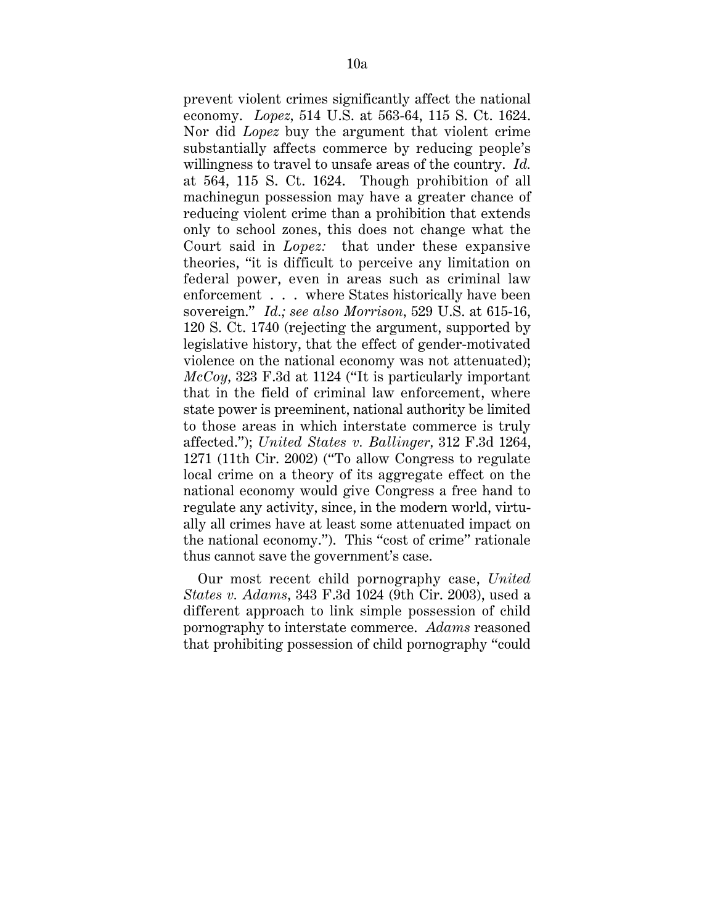prevent violent crimes significantly affect the national economy. *Lopez,* 514 U.S. at 563-64, 115 S. Ct. 1624. Nor did *Lopez* buy the argument that violent crime substantially affects commerce by reducing people's willingness to travel to unsafe areas of the country. *Id.* at 564, 115 S. Ct. 1624. Though prohibition of all machinegun possession may have a greater chance of reducing violent crime than a prohibition that extends only to school zones, this does not change what the Court said in *Lopez:* that under these expansive theories, "it is difficult to perceive any limitation on federal power, even in areas such as criminal law enforcement . . . where States historically have been sovereign." *Id.; see also Morrison,* 529 U.S. at 615-16, 120 S. Ct. 1740 (rejecting the argument, supported by legislative history, that the effect of gender-motivated violence on the national economy was not attenuated); *McCoy,* 323 F.3d at 1124 ("It is particularly important that in the field of criminal law enforcement, where state power is preeminent, national authority be limited to those areas in which interstate commerce is truly affected."); *United States v. Ballinger,* 312 F.3d 1264, 1271 (11th Cir. 2002) ("To allow Congress to regulate local crime on a theory of its aggregate effect on the national economy would give Congress a free hand to regulate any activity, since, in the modern world, virtually all crimes have at least some attenuated impact on the national economy."). This "cost of crime" rationale thus cannot save the government's case.

Our most recent child pornography case, *United States v. Adams,* 343 F.3d 1024 (9th Cir. 2003), used a different approach to link simple possession of child pornography to interstate commerce. *Adams* reasoned that prohibiting possession of child pornography "could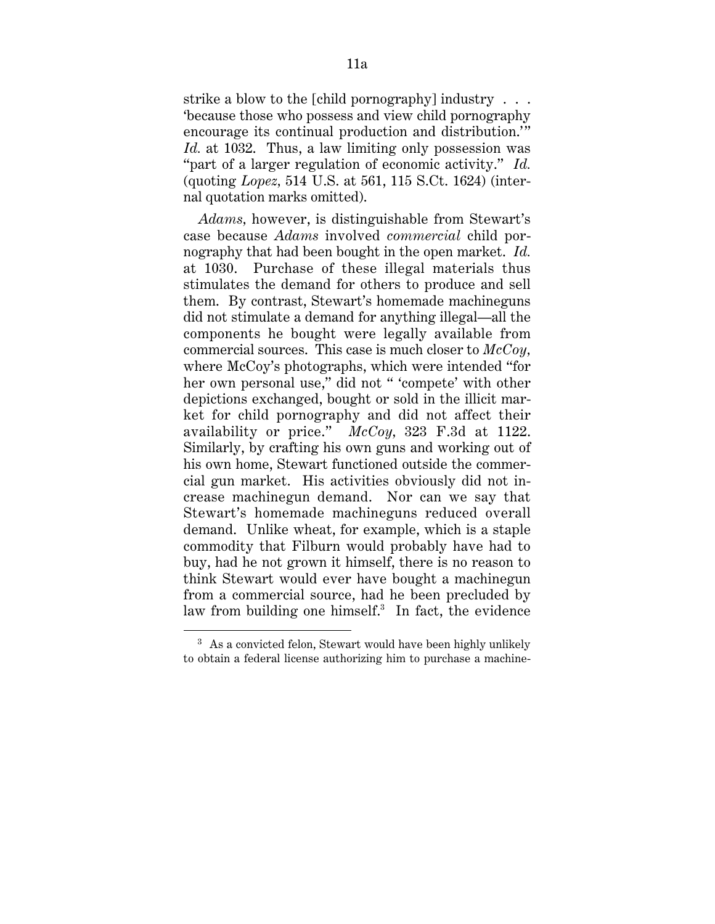strike a blow to the [child pornography] industry . . . 'because those who possess and view child pornography encourage its continual production and distribution." *Id.* at 1032. Thus, a law limiting only possession was "part of a larger regulation of economic activity." *Id.* (quoting *Lopez,* 514 U.S. at 561, 115 S.Ct. 1624) (internal quotation marks omitted).

*Adams,* however, is distinguishable from Stewart's case because *Adams* involved *commercial* child pornography that had been bought in the open market. *Id.* at 1030. Purchase of these illegal materials thus stimulates the demand for others to produce and sell them. By contrast, Stewart's homemade machineguns did not stimulate a demand for anything illegal—all the components he bought were legally available from commercial sources. This case is much closer to *McCoy,* where McCoy's photographs, which were intended "for her own personal use," did not " 'compete' with other depictions exchanged, bought or sold in the illicit market for child pornography and did not affect their availability or price." *McCoy,* 323 F.3d at 1122. Similarly, by crafting his own guns and working out of his own home, Stewart functioned outside the commercial gun market. His activities obviously did not increase machinegun demand. Nor can we say that Stewart's homemade machineguns reduced overall demand. Unlike wheat, for example, which is a staple commodity that Filburn would probably have had to buy, had he not grown it himself, there is no reason to think Stewart would ever have bought a machinegun from a commercial source, had he been precluded by law from building one himself.<sup>3</sup> In fact, the evidence

<sup>&</sup>lt;sup>3</sup> As a convicted felon, Stewart would have been highly unlikely to obtain a federal license authorizing him to purchase a machine-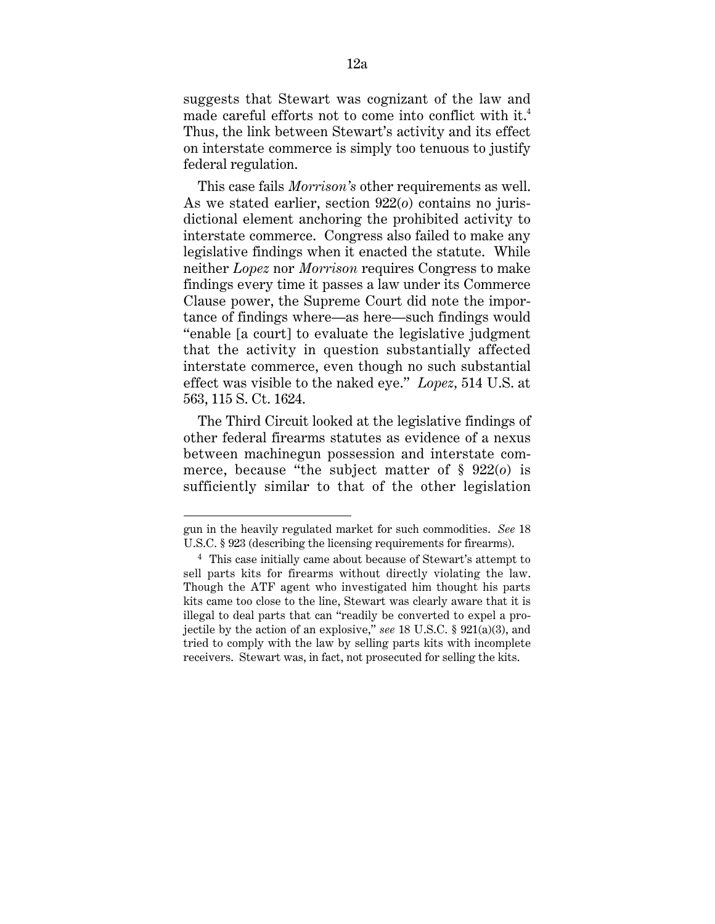suggests that Stewart was cognizant of the law and made careful efforts not to come into conflict with it.<sup>4</sup> Thus, the link between Stewart's activity and its effect on interstate commerce is simply too tenuous to justify federal regulation.

This case fails *Morrison's* other requirements as well. As we stated earlier, section 922(*o*) contains no jurisdictional element anchoring the prohibited activity to interstate commerce. Congress also failed to make any legislative findings when it enacted the statute. While neither *Lopez* nor *Morrison* requires Congress to make findings every time it passes a law under its Commerce Clause power, the Supreme Court did note the importance of findings where—as here—such findings would "enable [a court] to evaluate the legislative judgment that the activity in question substantially affected interstate commerce, even though no such substantial effect was visible to the naked eye." *Lopez,* 514 U.S. at 563, 115 S. Ct. 1624.

The Third Circuit looked at the legislative findings of other federal firearms statutes as evidence of a nexus between machinegun possession and interstate commerce, because "the subject matter of § 922(*o*) is sufficiently similar to that of the other legislation

gun in the heavily regulated market for such commodities. *See* 18 U.S.C. § 923 (describing the licensing requirements for firearms).

<sup>4</sup> This case initially came about because of Stewart's attempt to sell parts kits for firearms without directly violating the law. Though the ATF agent who investigated him thought his parts kits came too close to the line, Stewart was clearly aware that it is illegal to deal parts that can "readily be converted to expel a projectile by the action of an explosive," *see* 18 U.S.C. § 921(a)(3), and tried to comply with the law by selling parts kits with incomplete receivers. Stewart was, in fact, not prosecuted for selling the kits.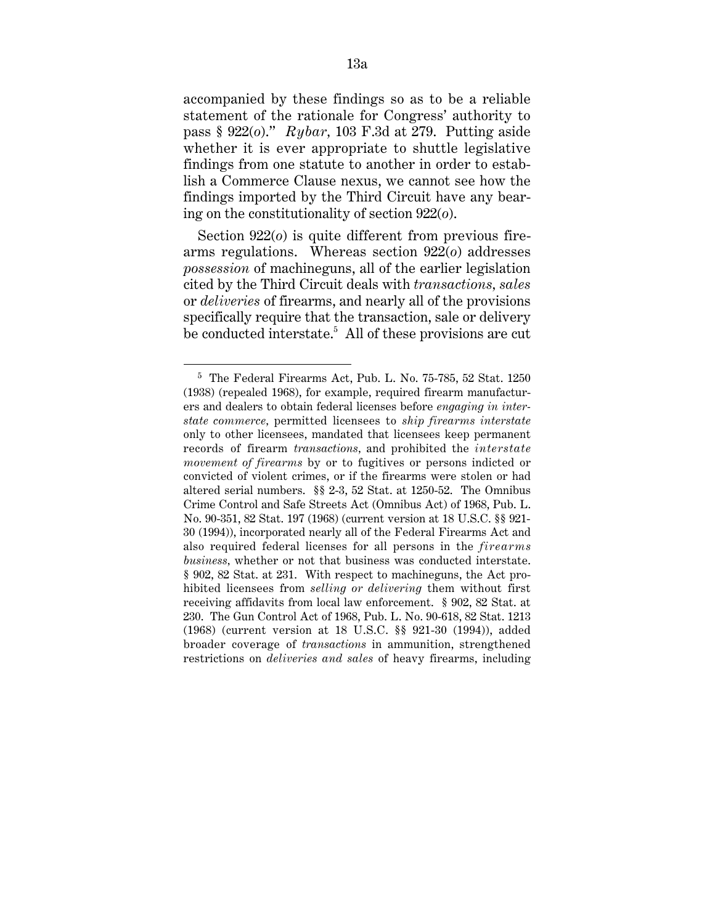accompanied by these findings so as to be a reliable statement of the rationale for Congress' authority to pass § 922(*o*)." *Rybar,* 103 F.3d at 279. Putting aside whether it is ever appropriate to shuttle legislative findings from one statute to another in order to establish a Commerce Clause nexus, we cannot see how the findings imported by the Third Circuit have any bearing on the constitutionality of section 922(*o*).

Section 922(*o*) is quite different from previous firearms regulations. Whereas section 922(*o*) addresses *possession* of machineguns, all of the earlier legislation cited by the Third Circuit deals with *transactions, sales* or *deliveries* of firearms, and nearly all of the provisions specifically require that the transaction, sale or delivery be conducted interstate.<sup>5</sup> All of these provisions are cut

<sup>5</sup> The Federal Firearms Act, Pub. L. No. 75-785, 52 Stat. 1250 (1938) (repealed 1968), for example, required firearm manufacturers and dealers to obtain federal licenses before *engaging in interstate commerce,* permitted licensees to *ship firearms interstate* only to other licensees, mandated that licensees keep permanent records of firearm *transactions,* and prohibited the *interstate movement of firearms* by or to fugitives or persons indicted or convicted of violent crimes, or if the firearms were stolen or had altered serial numbers. §§ 2-3, 52 Stat. at 1250-52. The Omnibus Crime Control and Safe Streets Act (Omnibus Act) of 1968, Pub. L. No. 90-351, 82 Stat. 197 (1968) (current version at 18 U.S.C. §§ 921- 30 (1994)), incorporated nearly all of the Federal Firearms Act and also required federal licenses for all persons in the *firearms business,* whether or not that business was conducted interstate. § 902, 82 Stat. at 231. With respect to machineguns, the Act prohibited licensees from *selling or delivering* them without first receiving affidavits from local law enforcement. § 902, 82 Stat. at 230. The Gun Control Act of 1968, Pub. L. No. 90-618, 82 Stat. 1213 (1968) (current version at 18 U.S.C. §§ 921-30 (1994)), added broader coverage of *transactions* in ammunition, strengthened restrictions on *deliveries and sales* of heavy firearms, including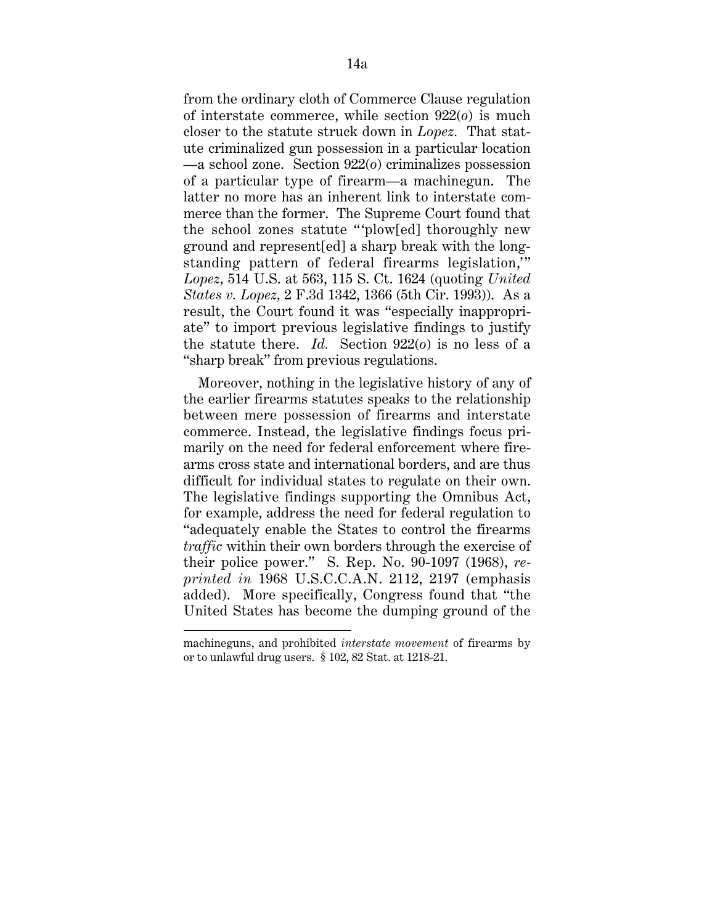from the ordinary cloth of Commerce Clause regulation of interstate commerce, while section 922(*o*) is much closer to the statute struck down in *Lopez.* That statute criminalized gun possession in a particular location —a school zone. Section 922(*o*) criminalizes possession of a particular type of firearm—a machinegun. The latter no more has an inherent link to interstate commerce than the former. The Supreme Court found that the school zones statute ""plow[ed] thoroughly new ground and represent[ed] a sharp break with the longstanding pattern of federal firearms legislation," *Lopez,* 514 U.S. at 563, 115 S. Ct. 1624 (quoting *United States v. Lopez,* 2 F.3d 1342, 1366 (5th Cir. 1993)). As a result, the Court found it was "especially inappropriate" to import previous legislative findings to justify the statute there. *Id.* Section 922(*o*) is no less of a "sharp break" from previous regulations.

Moreover, nothing in the legislative history of any of the earlier firearms statutes speaks to the relationship between mere possession of firearms and interstate commerce. Instead, the legislative findings focus primarily on the need for federal enforcement where firearms cross state and international borders, and are thus difficult for individual states to regulate on their own. The legislative findings supporting the Omnibus Act, for example, address the need for federal regulation to "adequately enable the States to control the firearms *traffic* within their own borders through the exercise of their police power." S. Rep. No. 90-1097 (1968), *reprinted in* 1968 U.S.C.C.A.N. 2112, 2197 (emphasis added). More specifically, Congress found that "the United States has become the dumping ground of the

machineguns, and prohibited *interstate movement* of firearms by or to unlawful drug users. § 102, 82 Stat. at 1218-21.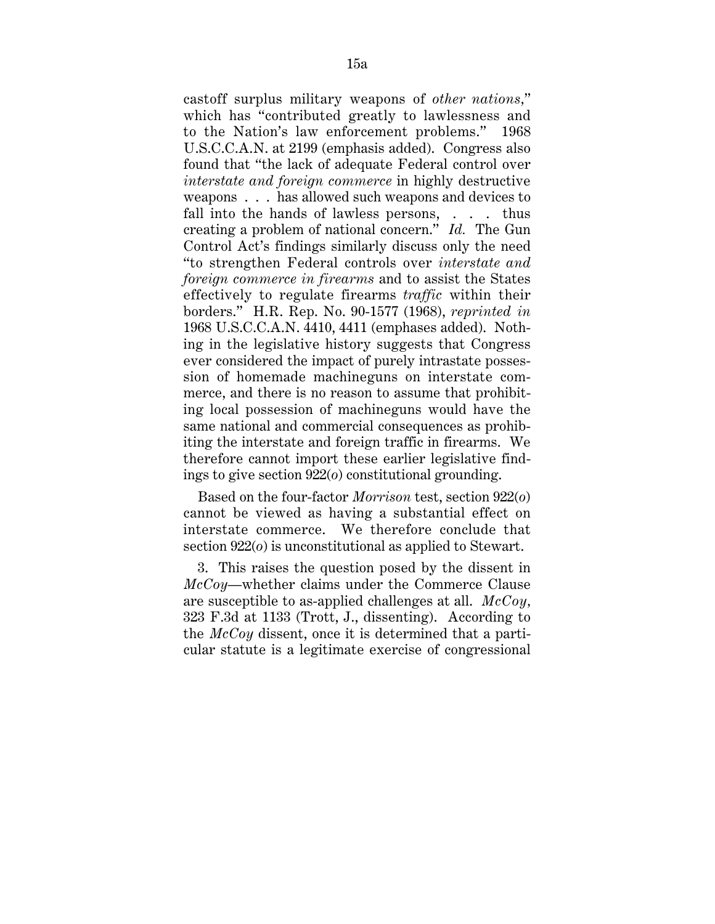castoff surplus military weapons of *other nations,*" which has "contributed greatly to lawlessness and to the Nation's law enforcement problems." 1968 U.S.C.C.A.N. at 2199 (emphasis added). Congress also found that "the lack of adequate Federal control over *interstate and foreign commerce* in highly destructive weapons . . . has allowed such weapons and devices to fall into the hands of lawless persons, . . . thus creating a problem of national concern." *Id.* The Gun Control Act's findings similarly discuss only the need "to strengthen Federal controls over *interstate and foreign commerce in firearms* and to assist the States effectively to regulate firearms *traffic* within their borders." H.R. Rep. No. 90-1577 (1968), *reprinted in* 1968 U.S.C.C.A.N. 4410, 4411 (emphases added). Nothing in the legislative history suggests that Congress ever considered the impact of purely intrastate possession of homemade machineguns on interstate commerce, and there is no reason to assume that prohibiting local possession of machineguns would have the same national and commercial consequences as prohibiting the interstate and foreign traffic in firearms. We therefore cannot import these earlier legislative findings to give section 922(*o*) constitutional grounding.

Based on the four-factor *Morrison* test, section 922(*o*) cannot be viewed as having a substantial effect on interstate commerce. We therefore conclude that section 922(*o*) is unconstitutional as applied to Stewart.

3. This raises the question posed by the dissent in *McCoy*—whether claims under the Commerce Clause are susceptible to as-applied challenges at all. *McCoy,* 323 F.3d at 1133 (Trott, J., dissenting). According to the *McCoy* dissent, once it is determined that a particular statute is a legitimate exercise of congressional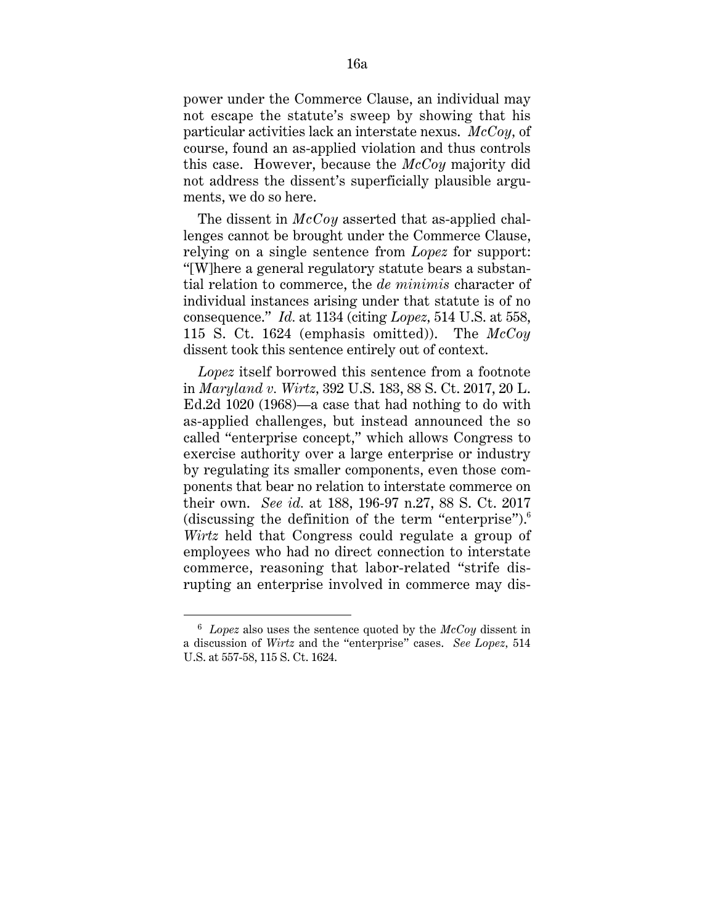power under the Commerce Clause, an individual may not escape the statute's sweep by showing that his particular activities lack an interstate nexus. *McCoy,* of course, found an as-applied violation and thus controls this case. However, because the *McCoy* majority did not address the dissent's superficially plausible arguments, we do so here.

The dissent in *McCoy* asserted that as-applied challenges cannot be brought under the Commerce Clause, relying on a single sentence from *Lopez* for support: "[W]here a general regulatory statute bears a substantial relation to commerce, the *de minimis* character of individual instances arising under that statute is of no consequence." *Id.* at 1134 (citing *Lopez,* 514 U.S. at 558, 115 S. Ct. 1624 (emphasis omitted)). The *McCoy* dissent took this sentence entirely out of context.

*Lopez* itself borrowed this sentence from a footnote in *Maryland v. Wirtz,* 392 U.S. 183, 88 S. Ct. 2017, 20 L. Ed.2d 1020 (1968)—a case that had nothing to do with as-applied challenges, but instead announced the so called "enterprise concept," which allows Congress to exercise authority over a large enterprise or industry by regulating its smaller components, even those components that bear no relation to interstate commerce on their own. *See id.* at 188, 196-97 n.27, 88 S. Ct. 2017 (discussing the definition of the term "enterprise"). $6$ *Wirtz* held that Congress could regulate a group of employees who had no direct connection to interstate commerce, reasoning that labor-related "strife disrupting an enterprise involved in commerce may dis-

 <sup>6</sup> *Lopez* also uses the sentence quoted by the *McCoy* dissent in a discussion of *Wirtz* and the "enterprise" cases. *See Lopez,* 514 U.S. at 557-58, 115 S. Ct. 1624.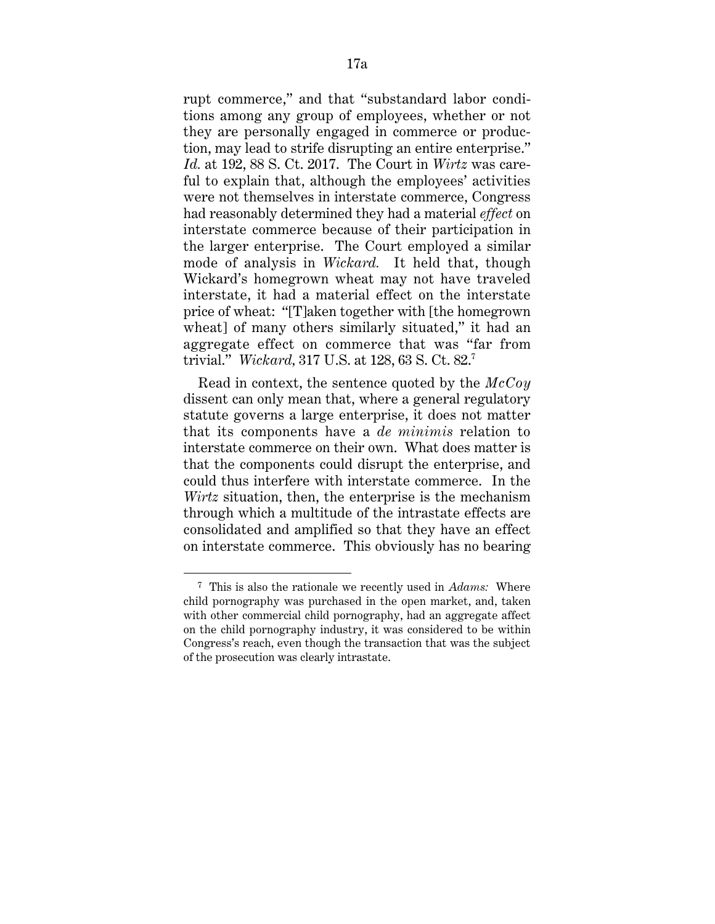rupt commerce," and that "substandard labor conditions among any group of employees, whether or not they are personally engaged in commerce or production, may lead to strife disrupting an entire enterprise." *Id.* at 192, 88 S. Ct. 2017. The Court in *Wirtz* was careful to explain that, although the employees' activities were not themselves in interstate commerce, Congress had reasonably determined they had a material *effect* on interstate commerce because of their participation in the larger enterprise. The Court employed a similar mode of analysis in *Wickard.* It held that, though Wickard's homegrown wheat may not have traveled interstate, it had a material effect on the interstate price of wheat: "[T]aken together with [the homegrown wheat] of many others similarly situated," it had an aggregate effect on commerce that was "far from trivial." *Wickard,* 317 U.S. at 128, 63 S. Ct. 82.7

Read in context, the sentence quoted by the *McCoy* dissent can only mean that, where a general regulatory statute governs a large enterprise, it does not matter that its components have a *de minimis* relation to interstate commerce on their own. What does matter is that the components could disrupt the enterprise, and could thus interfere with interstate commerce. In the *Wirtz* situation, then, the enterprise is the mechanism through which a multitude of the intrastate effects are consolidated and amplified so that they have an effect on interstate commerce. This obviously has no bearing

<sup>7</sup> This is also the rationale we recently used in *Adams:* Where child pornography was purchased in the open market, and, taken with other commercial child pornography, had an aggregate affect on the child pornography industry, it was considered to be within Congress's reach, even though the transaction that was the subject of the prosecution was clearly intrastate.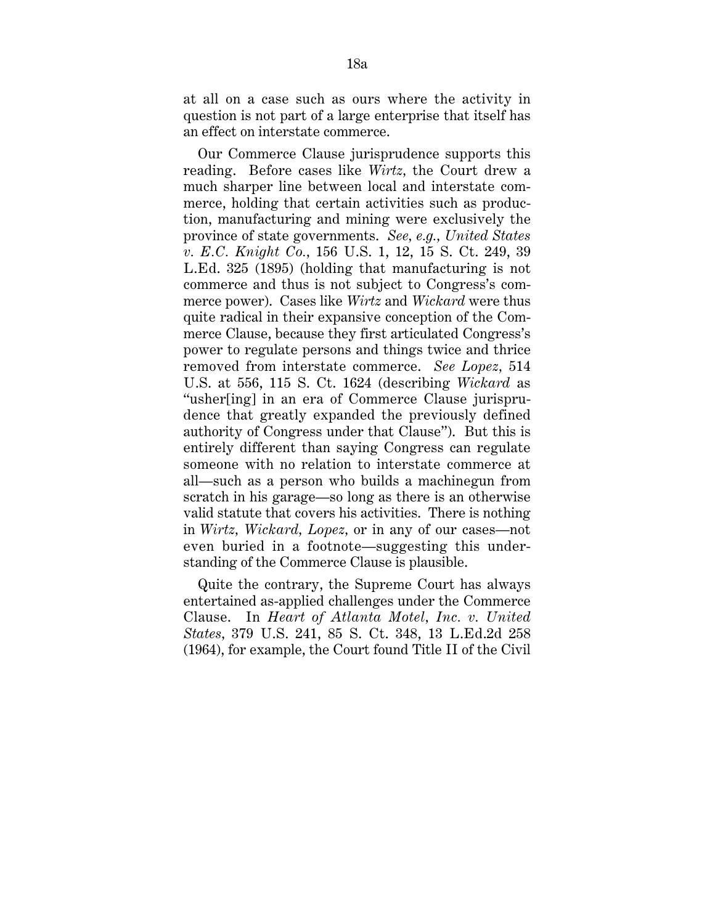at all on a case such as ours where the activity in question is not part of a large enterprise that itself has an effect on interstate commerce.

Our Commerce Clause jurisprudence supports this reading. Before cases like *Wirtz,* the Court drew a much sharper line between local and interstate commerce, holding that certain activities such as production, manufacturing and mining were exclusively the province of state governments. *See, e.g., United States v. E.C. Knight Co.,* 156 U.S. 1, 12, 15 S. Ct. 249, 39 L.Ed. 325 (1895) (holding that manufacturing is not commerce and thus is not subject to Congress's commerce power). Cases like *Wirtz* and *Wickard* were thus quite radical in their expansive conception of the Commerce Clause, because they first articulated Congress's power to regulate persons and things twice and thrice removed from interstate commerce. *See Lopez,* 514 U.S. at 556, 115 S. Ct. 1624 (describing *Wickard* as "usher[ing] in an era of Commerce Clause jurisprudence that greatly expanded the previously defined authority of Congress under that Clause"). But this is entirely different than saying Congress can regulate someone with no relation to interstate commerce at all—such as a person who builds a machinegun from scratch in his garage—so long as there is an otherwise valid statute that covers his activities. There is nothing in *Wirtz, Wickard, Lopez,* or in any of our cases—not even buried in a footnote—suggesting this understanding of the Commerce Clause is plausible.

Quite the contrary, the Supreme Court has always entertained as-applied challenges under the Commerce Clause. In *Heart of Atlanta Motel, Inc. v. United States,* 379 U.S. 241, 85 S. Ct. 348, 13 L.Ed.2d 258 (1964), for example, the Court found Title II of the Civil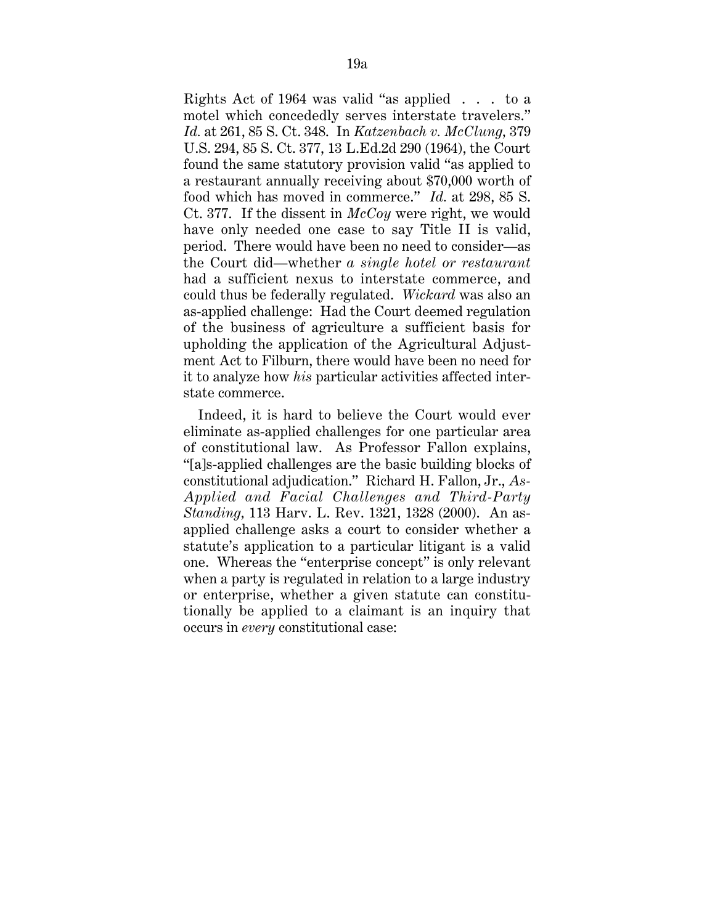Rights Act of 1964 was valid "as applied . . . to a motel which concededly serves interstate travelers." *Id.* at 261, 85 S. Ct. 348. In *Katzenbach v. McClung,* 379 U.S. 294, 85 S. Ct. 377, 13 L.Ed.2d 290 (1964), the Court found the same statutory provision valid "as applied to a restaurant annually receiving about \$70,000 worth of food which has moved in commerce." *Id.* at 298, 85 S. Ct. 377. If the dissent in *McCoy* were right, we would have only needed one case to say Title II is valid, period. There would have been no need to consider—as the Court did—whether *a single hotel or restaurant* had a sufficient nexus to interstate commerce, and could thus be federally regulated. *Wickard* was also an as-applied challenge: Had the Court deemed regulation of the business of agriculture a sufficient basis for upholding the application of the Agricultural Adjustment Act to Filburn, there would have been no need for it to analyze how *his* particular activities affected interstate commerce.

Indeed, it is hard to believe the Court would ever eliminate as-applied challenges for one particular area of constitutional law. As Professor Fallon explains, "[a]s-applied challenges are the basic building blocks of constitutional adjudication." Richard H. Fallon, Jr., *As-Applied and Facial Challenges and Third-Party Standing,* 113 Harv. L. Rev. 1321, 1328 (2000). An asapplied challenge asks a court to consider whether a statute's application to a particular litigant is a valid one. Whereas the "enterprise concept" is only relevant when a party is regulated in relation to a large industry or enterprise, whether a given statute can constitutionally be applied to a claimant is an inquiry that occurs in *every* constitutional case: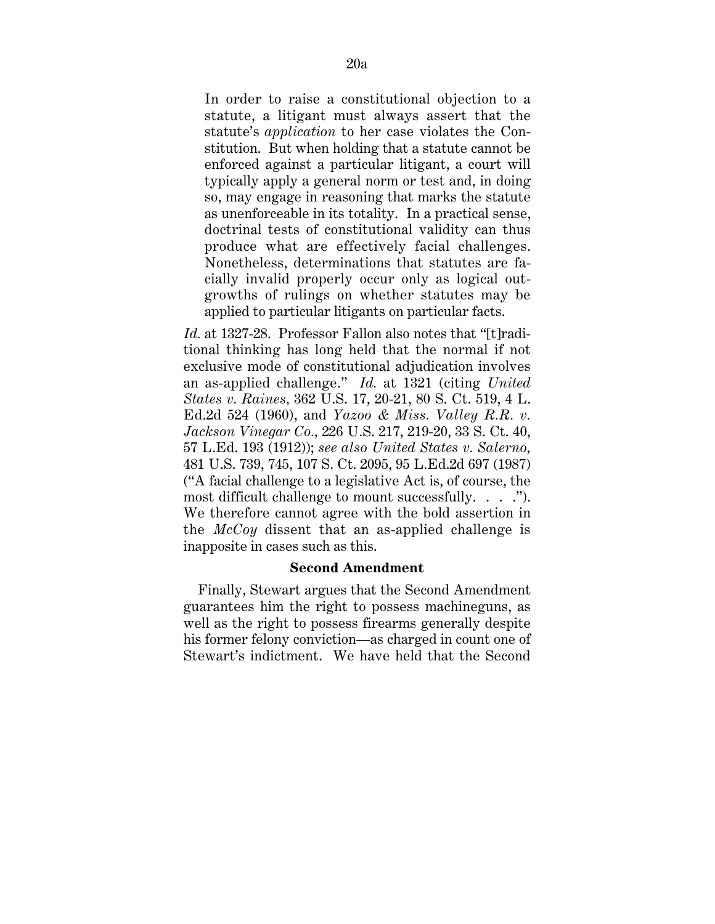In order to raise a constitutional objection to a statute, a litigant must always assert that the statute's *application* to her case violates the Constitution. But when holding that a statute cannot be enforced against a particular litigant, a court will typically apply a general norm or test and, in doing so, may engage in reasoning that marks the statute as unenforceable in its totality. In a practical sense, doctrinal tests of constitutional validity can thus produce what are effectively facial challenges. Nonetheless, determinations that statutes are facially invalid properly occur only as logical outgrowths of rulings on whether statutes may be applied to particular litigants on particular facts.

*Id.* at 1327-28. Professor Fallon also notes that "[t]raditional thinking has long held that the normal if not exclusive mode of constitutional adjudication involves an as-applied challenge." *Id.* at 1321 (citing *United States v. Raines,* 362 U.S. 17, 20-21, 80 S. Ct. 519, 4 L. Ed.2d 524 (1960), and *Yazoo & Miss. Valley R.R. v. Jackson Vinegar Co.,* 226 U.S. 217, 219-20, 33 S. Ct. 40, 57 L.Ed. 193 (1912)); *see also United States v. Salerno,* 481 U.S. 739, 745, 107 S. Ct. 2095, 95 L.Ed.2d 697 (1987) ("A facial challenge to a legislative Act is, of course, the most difficult challenge to mount successfully. . . . "). We therefore cannot agree with the bold assertion in the *McCoy* dissent that an as-applied challenge is inapposite in cases such as this.

#### **Second Amendment**

Finally, Stewart argues that the Second Amendment guarantees him the right to possess machineguns, as well as the right to possess firearms generally despite his former felony conviction—as charged in count one of Stewart's indictment. We have held that the Second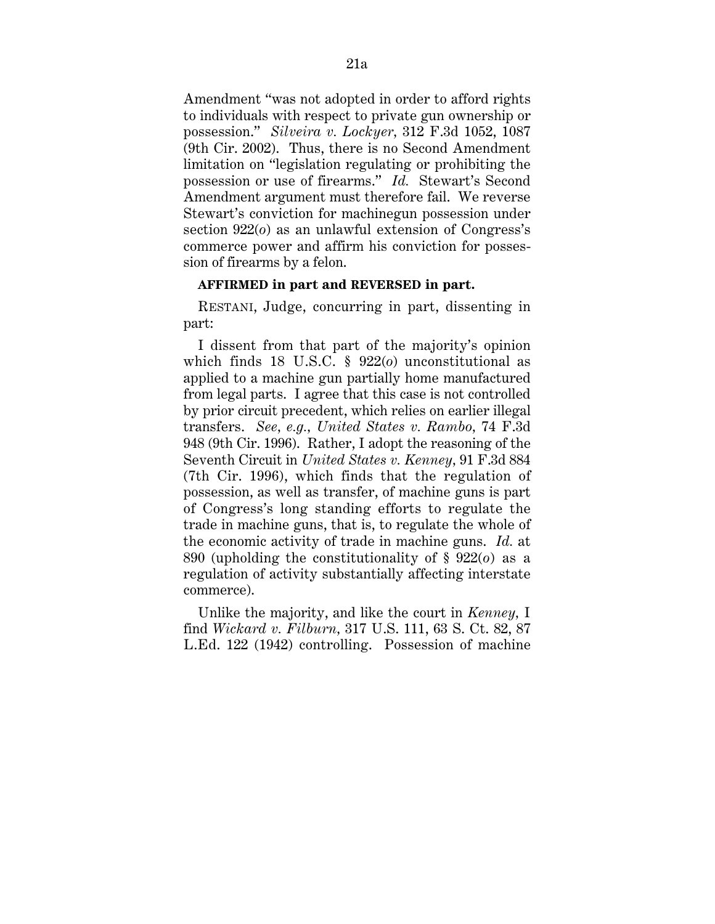Amendment "was not adopted in order to afford rights to individuals with respect to private gun ownership or possession." *Silveira v. Lockyer,* 312 F.3d 1052, 1087 (9th Cir. 2002). Thus, there is no Second Amendment limitation on "legislation regulating or prohibiting the possession or use of firearms." *Id.* Stewart's Second Amendment argument must therefore fail. We reverse Stewart's conviction for machinegun possession under section 922(*o*) as an unlawful extension of Congress's commerce power and affirm his conviction for possession of firearms by a felon.

#### **AFFIRMED in part and REVERSED in part.**

RESTANI, Judge, concurring in part, dissenting in part:

I dissent from that part of the majority's opinion which finds 18 U.S.C. § 922(*o*) unconstitutional as applied to a machine gun partially home manufactured from legal parts. I agree that this case is not controlled by prior circuit precedent, which relies on earlier illegal transfers. *See, e.g., United States v. Rambo,* 74 F.3d 948 (9th Cir. 1996). Rather, I adopt the reasoning of the Seventh Circuit in *United States v. Kenney,* 91 F.3d 884 (7th Cir. 1996), which finds that the regulation of possession, as well as transfer, of machine guns is part of Congress's long standing efforts to regulate the trade in machine guns, that is, to regulate the whole of the economic activity of trade in machine guns. *Id.* at 890 (upholding the constitutionality of § 922(*o*) as a regulation of activity substantially affecting interstate commerce).

Unlike the majority, and like the court in *Kenney,* I find *Wickard v. Filburn,* 317 U.S. 111, 63 S. Ct. 82, 87 L.Ed. 122 (1942) controlling. Possession of machine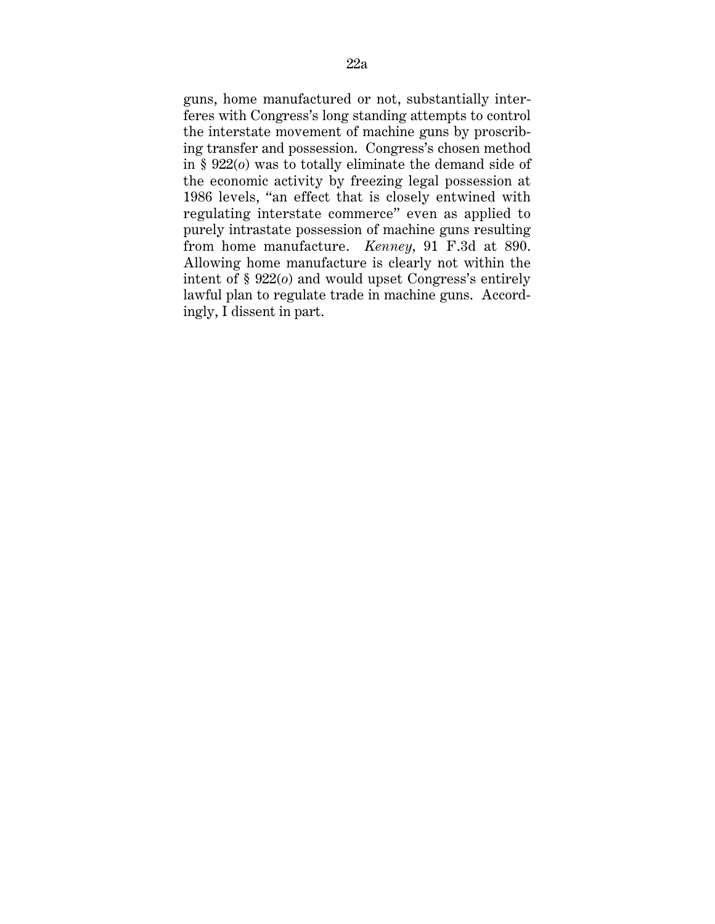guns, home manufactured or not, substantially interferes with Congress's long standing attempts to control the interstate movement of machine guns by proscribing transfer and possession. Congress's chosen method in § 922(*o*) was to totally eliminate the demand side of the economic activity by freezing legal possession at 1986 levels, "an effect that is closely entwined with regulating interstate commerce" even as applied to purely intrastate possession of machine guns resulting from home manufacture. *Kenney,* 91 F.3d at 890. Allowing home manufacture is clearly not within the intent of § 922(*o*) and would upset Congress's entirely lawful plan to regulate trade in machine guns. Accordingly, I dissent in part.